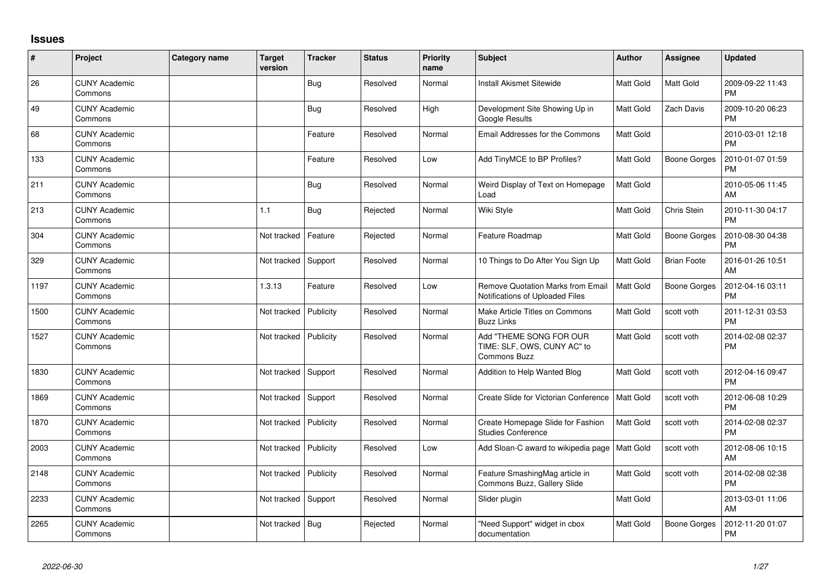## **Issues**

| #    | Project                         | Category name | <b>Target</b><br>version | <b>Tracker</b> | <b>Status</b> | <b>Priority</b><br>name | <b>Subject</b>                                                              | <b>Author</b>    | Assignee            | <b>Updated</b>                |
|------|---------------------------------|---------------|--------------------------|----------------|---------------|-------------------------|-----------------------------------------------------------------------------|------------------|---------------------|-------------------------------|
| 26   | <b>CUNY Academic</b><br>Commons |               |                          | <b>Bug</b>     | Resolved      | Normal                  | <b>Install Akismet Sitewide</b>                                             | <b>Matt Gold</b> | Matt Gold           | 2009-09-22 11:43<br><b>PM</b> |
| 49   | <b>CUNY Academic</b><br>Commons |               |                          | <b>Bug</b>     | Resolved      | High                    | Development Site Showing Up in<br>Google Results                            | <b>Matt Gold</b> | Zach Davis          | 2009-10-20 06:23<br><b>PM</b> |
| 68   | <b>CUNY Academic</b><br>Commons |               |                          | Feature        | Resolved      | Normal                  | Email Addresses for the Commons                                             | Matt Gold        |                     | 2010-03-01 12:18<br><b>PM</b> |
| 133  | <b>CUNY Academic</b><br>Commons |               |                          | Feature        | Resolved      | Low                     | Add TinyMCE to BP Profiles?                                                 | <b>Matt Gold</b> | <b>Boone Gorges</b> | 2010-01-07 01:59<br><b>PM</b> |
| 211  | <b>CUNY Academic</b><br>Commons |               |                          | <b>Bug</b>     | Resolved      | Normal                  | Weird Display of Text on Homepage<br>Load                                   | Matt Gold        |                     | 2010-05-06 11:45<br>AM        |
| 213  | <b>CUNY Academic</b><br>Commons |               | 1.1                      | <b>Bug</b>     | Rejected      | Normal                  | Wiki Style                                                                  | Matt Gold        | Chris Stein         | 2010-11-30 04:17<br><b>PM</b> |
| 304  | <b>CUNY Academic</b><br>Commons |               | Not tracked              | Feature        | Rejected      | Normal                  | Feature Roadmap                                                             | <b>Matt Gold</b> | <b>Boone Gorges</b> | 2010-08-30 04:38<br><b>PM</b> |
| 329  | <b>CUNY Academic</b><br>Commons |               | Not tracked              | Support        | Resolved      | Normal                  | 10 Things to Do After You Sign Up                                           | <b>Matt Gold</b> | <b>Brian Foote</b>  | 2016-01-26 10:51<br>AM        |
| 1197 | <b>CUNY Academic</b><br>Commons |               | 1.3.13                   | Feature        | Resolved      | Low                     | <b>Remove Quotation Marks from Email</b><br>Notifications of Uploaded Files | <b>Matt Gold</b> | Boone Gorges        | 2012-04-16 03:11<br><b>PM</b> |
| 1500 | <b>CUNY Academic</b><br>Commons |               | Not tracked              | Publicity      | Resolved      | Normal                  | Make Article Titles on Commons<br><b>Buzz Links</b>                         | <b>Matt Gold</b> | scott voth          | 2011-12-31 03:53<br><b>PM</b> |
| 1527 | <b>CUNY Academic</b><br>Commons |               | Not tracked              | Publicity      | Resolved      | Normal                  | Add "THEME SONG FOR OUR<br>TIME: SLF, OWS, CUNY AC" to<br>Commons Buzz      | <b>Matt Gold</b> | scott voth          | 2014-02-08 02:37<br><b>PM</b> |
| 1830 | <b>CUNY Academic</b><br>Commons |               | Not tracked              | Support        | Resolved      | Normal                  | Addition to Help Wanted Blog                                                | Matt Gold        | scott voth          | 2012-04-16 09:47<br><b>PM</b> |
| 1869 | <b>CUNY Academic</b><br>Commons |               | Not tracked              | Support        | Resolved      | Normal                  | Create Slide for Victorian Conference                                       | <b>Matt Gold</b> | scott voth          | 2012-06-08 10:29<br><b>PM</b> |
| 1870 | <b>CUNY Academic</b><br>Commons |               | Not tracked              | Publicity      | Resolved      | Normal                  | Create Homepage Slide for Fashion<br><b>Studies Conference</b>              | <b>Matt Gold</b> | scott voth          | 2014-02-08 02:37<br><b>PM</b> |
| 2003 | <b>CUNY Academic</b><br>Commons |               | Not tracked              | Publicity      | Resolved      | Low                     | Add Sloan-C award to wikipedia page                                         | <b>Matt Gold</b> | scott voth          | 2012-08-06 10:15<br>AM        |
| 2148 | <b>CUNY Academic</b><br>Commons |               | Not tracked              | Publicity      | Resolved      | Normal                  | Feature SmashingMag article in<br>Commons Buzz, Gallery Slide               | Matt Gold        | scott voth          | 2014-02-08 02:38<br><b>PM</b> |
| 2233 | <b>CUNY Academic</b><br>Commons |               | Not tracked              | Support        | Resolved      | Normal                  | Slider plugin                                                               | <b>Matt Gold</b> |                     | 2013-03-01 11:06<br>AM        |
| 2265 | <b>CUNY Academic</b><br>Commons |               | Not tracked              | <b>Bug</b>     | Rejected      | Normal                  | "Need Support" widget in cbox<br>documentation                              | <b>Matt Gold</b> | <b>Boone Gorges</b> | 2012-11-20 01:07<br><b>PM</b> |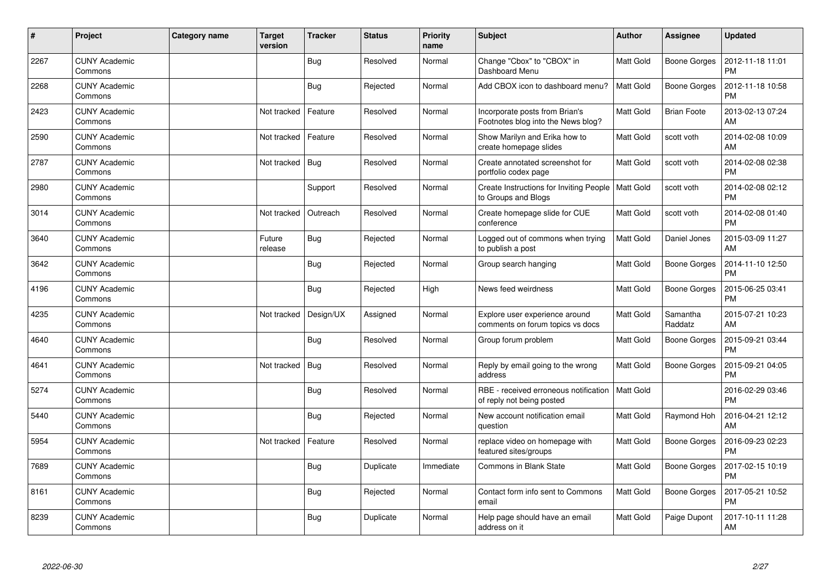| $\pmb{\#}$ | Project                         | <b>Category name</b> | <b>Target</b><br>version | <b>Tracker</b> | <b>Status</b> | <b>Priority</b><br>name | <b>Subject</b>                                                       | <b>Author</b>    | <b>Assignee</b>     | <b>Updated</b>                |
|------------|---------------------------------|----------------------|--------------------------|----------------|---------------|-------------------------|----------------------------------------------------------------------|------------------|---------------------|-------------------------------|
| 2267       | <b>CUNY Academic</b><br>Commons |                      |                          | Bug            | Resolved      | Normal                  | Change "Cbox" to "CBOX" in<br>Dashboard Menu                         | <b>Matt Gold</b> | <b>Boone Gorges</b> | 2012-11-18 11:01<br><b>PM</b> |
| 2268       | <b>CUNY Academic</b><br>Commons |                      |                          | <b>Bug</b>     | Rejected      | Normal                  | Add CBOX icon to dashboard menu?                                     | <b>Matt Gold</b> | <b>Boone Gorges</b> | 2012-11-18 10:58<br><b>PM</b> |
| 2423       | <b>CUNY Academic</b><br>Commons |                      | Not tracked              | Feature        | Resolved      | Normal                  | Incorporate posts from Brian's<br>Footnotes blog into the News blog? | Matt Gold        | <b>Brian Foote</b>  | 2013-02-13 07:24<br>AM        |
| 2590       | <b>CUNY Academic</b><br>Commons |                      | Not tracked              | Feature        | Resolved      | Normal                  | Show Marilyn and Erika how to<br>create homepage slides              | Matt Gold        | scott voth          | 2014-02-08 10:09<br>AM        |
| 2787       | <b>CUNY Academic</b><br>Commons |                      | Not tracked              | <b>Bug</b>     | Resolved      | Normal                  | Create annotated screenshot for<br>portfolio codex page              | Matt Gold        | scott voth          | 2014-02-08 02:38<br><b>PM</b> |
| 2980       | <b>CUNY Academic</b><br>Commons |                      |                          | Support        | Resolved      | Normal                  | Create Instructions for Inviting People<br>to Groups and Blogs       | <b>Matt Gold</b> | scott voth          | 2014-02-08 02:12<br><b>PM</b> |
| 3014       | <b>CUNY Academic</b><br>Commons |                      | Not tracked              | Outreach       | Resolved      | Normal                  | Create homepage slide for CUE<br>conference                          | Matt Gold        | scott voth          | 2014-02-08 01:40<br><b>PM</b> |
| 3640       | <b>CUNY Academic</b><br>Commons |                      | Future<br>release        | <b>Bug</b>     | Rejected      | Normal                  | Logged out of commons when trying<br>to publish a post               | Matt Gold        | Daniel Jones        | 2015-03-09 11:27<br>AM        |
| 3642       | <b>CUNY Academic</b><br>Commons |                      |                          | <b>Bug</b>     | Rejected      | Normal                  | Group search hanging                                                 | Matt Gold        | <b>Boone Gorges</b> | 2014-11-10 12:50<br><b>PM</b> |
| 4196       | <b>CUNY Academic</b><br>Commons |                      |                          | <b>Bug</b>     | Rejected      | High                    | News feed weirdness                                                  | Matt Gold        | Boone Gorges        | 2015-06-25 03:41<br><b>PM</b> |
| 4235       | <b>CUNY Academic</b><br>Commons |                      | Not tracked              | Design/UX      | Assigned      | Normal                  | Explore user experience around<br>comments on forum topics vs docs   | <b>Matt Gold</b> | Samantha<br>Raddatz | 2015-07-21 10:23<br>AM        |
| 4640       | <b>CUNY Academic</b><br>Commons |                      |                          | Bug            | Resolved      | Normal                  | Group forum problem                                                  | Matt Gold        | <b>Boone Gorges</b> | 2015-09-21 03:44<br><b>PM</b> |
| 4641       | <b>CUNY Academic</b><br>Commons |                      | Not tracked              | <b>Bug</b>     | Resolved      | Normal                  | Reply by email going to the wrong<br>address                         | Matt Gold        | <b>Boone Gorges</b> | 2015-09-21 04:05<br><b>PM</b> |
| 5274       | <b>CUNY Academic</b><br>Commons |                      |                          | Bug            | Resolved      | Normal                  | RBE - received erroneous notification<br>of reply not being posted   | Matt Gold        |                     | 2016-02-29 03:46<br><b>PM</b> |
| 5440       | <b>CUNY Academic</b><br>Commons |                      |                          | Bug            | Rejected      | Normal                  | New account notification email<br>question                           | Matt Gold        | Raymond Hoh         | 2016-04-21 12:12<br>AM        |
| 5954       | <b>CUNY Academic</b><br>Commons |                      | Not tracked              | Feature        | Resolved      | Normal                  | replace video on homepage with<br>featured sites/groups              | <b>Matt Gold</b> | <b>Boone Gorges</b> | 2016-09-23 02:23<br><b>PM</b> |
| 7689       | <b>CUNY Academic</b><br>Commons |                      |                          | <b>Bug</b>     | Duplicate     | Immediate               | Commons in Blank State                                               | <b>Matt Gold</b> | <b>Boone Gorges</b> | 2017-02-15 10:19<br><b>PM</b> |
| 8161       | <b>CUNY Academic</b><br>Commons |                      |                          | Bug            | Rejected      | Normal                  | Contact form info sent to Commons<br>email                           | Matt Gold        | <b>Boone Gorges</b> | 2017-05-21 10:52<br><b>PM</b> |
| 8239       | <b>CUNY Academic</b><br>Commons |                      |                          | <b>Bug</b>     | Duplicate     | Normal                  | Help page should have an email<br>address on it                      | Matt Gold        | Paige Dupont        | 2017-10-11 11:28<br>AM        |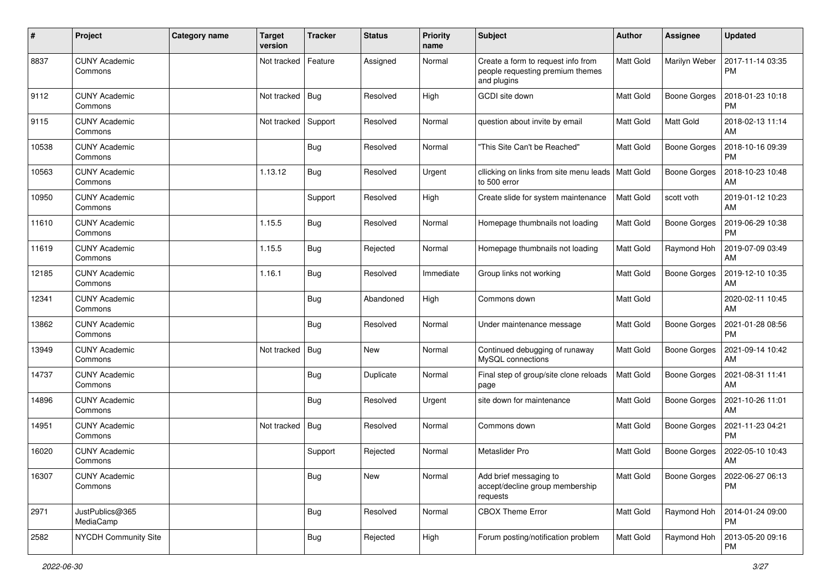| #     | Project                         | <b>Category name</b> | <b>Target</b><br>version | <b>Tracker</b> | <b>Status</b> | <b>Priority</b><br>name | <b>Subject</b>                                                                        | Author           | <b>Assignee</b>     | <b>Updated</b>                        |
|-------|---------------------------------|----------------------|--------------------------|----------------|---------------|-------------------------|---------------------------------------------------------------------------------------|------------------|---------------------|---------------------------------------|
| 8837  | <b>CUNY Academic</b><br>Commons |                      | Not tracked              | Feature        | Assigned      | Normal                  | Create a form to request info from<br>people requesting premium themes<br>and plugins | Matt Gold        | Marilyn Weber       | 2017-11-14 03:35<br><b>PM</b>         |
| 9112  | <b>CUNY Academic</b><br>Commons |                      | Not tracked              | Bug            | Resolved      | High                    | GCDI site down                                                                        | Matt Gold        | <b>Boone Gorges</b> | 2018-01-23 10:18<br><b>PM</b>         |
| 9115  | <b>CUNY Academic</b><br>Commons |                      | Not tracked              | Support        | Resolved      | Normal                  | question about invite by email                                                        | <b>Matt Gold</b> | Matt Gold           | 2018-02-13 11:14<br>AM                |
| 10538 | <b>CUNY Academic</b><br>Commons |                      |                          | Bug            | Resolved      | Normal                  | "This Site Can't be Reached"                                                          | <b>Matt Gold</b> | <b>Boone Gorges</b> | 2018-10-16 09:39<br><b>PM</b>         |
| 10563 | <b>CUNY Academic</b><br>Commons |                      | 1.13.12                  | <b>Bug</b>     | Resolved      | Urgent                  | cllicking on links from site menu leads<br>to 500 error                               | <b>Matt Gold</b> | <b>Boone Gorges</b> | 2018-10-23 10:48<br>AM                |
| 10950 | <b>CUNY Academic</b><br>Commons |                      |                          | Support        | Resolved      | High                    | Create slide for system maintenance                                                   | <b>Matt Gold</b> | scott voth          | 2019-01-12 10:23<br>AM                |
| 11610 | <b>CUNY Academic</b><br>Commons |                      | 1.15.5                   | Bug            | Resolved      | Normal                  | Homepage thumbnails not loading                                                       | Matt Gold        | Boone Gorges        | 2019-06-29 10:38<br><b>PM</b>         |
| 11619 | <b>CUNY Academic</b><br>Commons |                      | 1.15.5                   | Bug            | Rejected      | Normal                  | Homepage thumbnails not loading                                                       | <b>Matt Gold</b> | Raymond Hoh         | 2019-07-09 03:49<br>AM                |
| 12185 | <b>CUNY Academic</b><br>Commons |                      | 1.16.1                   | <b>Bug</b>     | Resolved      | Immediate               | Group links not working                                                               | <b>Matt Gold</b> | <b>Boone Gorges</b> | 2019-12-10 10:35<br>AM                |
| 12341 | <b>CUNY Academic</b><br>Commons |                      |                          | Bug            | Abandoned     | High                    | Commons down                                                                          | <b>Matt Gold</b> |                     | 2020-02-11 10:45<br>AM                |
| 13862 | <b>CUNY Academic</b><br>Commons |                      |                          | <b>Bug</b>     | Resolved      | Normal                  | Under maintenance message                                                             | <b>Matt Gold</b> | <b>Boone Gorges</b> | 2021-01-28 08:56<br><b>PM</b>         |
| 13949 | <b>CUNY Academic</b><br>Commons |                      | Not tracked              | Bug            | <b>New</b>    | Normal                  | Continued debugging of runaway<br>MySQL connections                                   | <b>Matt Gold</b> | <b>Boone Gorges</b> | 2021-09-14 10:42<br>AM                |
| 14737 | <b>CUNY Academic</b><br>Commons |                      |                          | Bug            | Duplicate     | Normal                  | Final step of group/site clone reloads<br>page                                        | <b>Matt Gold</b> | Boone Gorges        | 2021-08-31 11:41<br>AM                |
| 14896 | <b>CUNY Academic</b><br>Commons |                      |                          | Bug            | Resolved      | Urgent                  | site down for maintenance                                                             | <b>Matt Gold</b> | Boone Gorges        | 2021-10-26 11:01<br>AM                |
| 14951 | <b>CUNY Academic</b><br>Commons |                      | Not tracked              | Bug            | Resolved      | Normal                  | Commons down                                                                          | <b>Matt Gold</b> | Boone Gorges        | 2021-11-23 04:21<br><b>PM</b>         |
| 16020 | <b>CUNY Academic</b><br>Commons |                      |                          | Support        | Rejected      | Normal                  | Metaslider Pro                                                                        | <b>Matt Gold</b> | <b>Boone Gorges</b> | 2022-05-10 10:43<br>AM                |
| 16307 | <b>CUNY Academic</b><br>Commons |                      |                          | <b>Bug</b>     | New           | Normal                  | Add brief messaging to<br>accept/decline group membership<br>requests                 | <b>Matt Gold</b> |                     | Boone Gorges   2022-06-27 06:13<br>PM |
| 2971  | JustPublics@365<br>MediaCamp    |                      |                          | <b>Bug</b>     | Resolved      | Normal                  | <b>CBOX Theme Error</b>                                                               | Matt Gold        | Raymond Hoh         | 2014-01-24 09:00<br>  PM              |
| 2582  | NYCDH Community Site            |                      |                          | <b>Bug</b>     | Rejected      | High                    | Forum posting/notification problem                                                    | Matt Gold        | Raymond Hoh         | 2013-05-20 09:16<br><b>PM</b>         |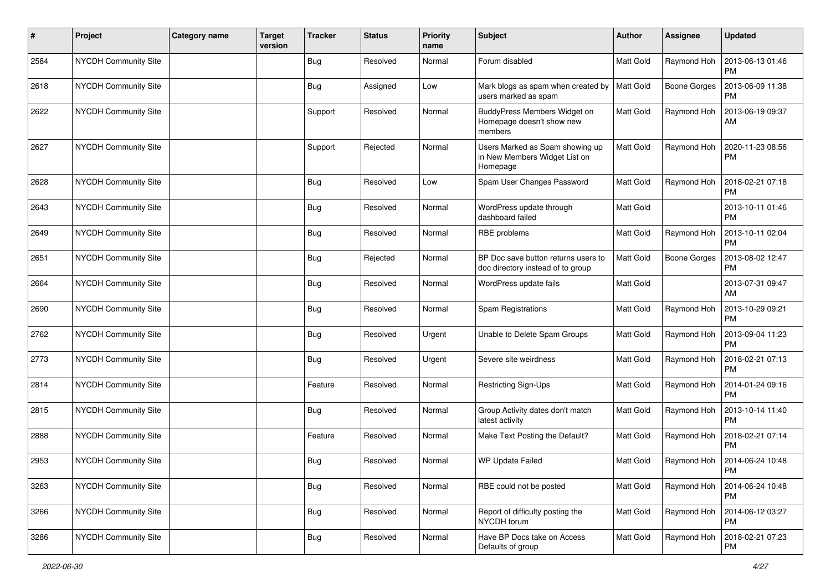| #    | Project                     | <b>Category name</b> | <b>Target</b><br>version | <b>Tracker</b> | <b>Status</b> | <b>Priority</b><br>name | Subject                                                                      | Author           | Assignee     | <b>Updated</b>                |
|------|-----------------------------|----------------------|--------------------------|----------------|---------------|-------------------------|------------------------------------------------------------------------------|------------------|--------------|-------------------------------|
| 2584 | <b>NYCDH Community Site</b> |                      |                          | <b>Bug</b>     | Resolved      | Normal                  | Forum disabled                                                               | Matt Gold        | Raymond Hoh  | 2013-06-13 01:46<br><b>PM</b> |
| 2618 | NYCDH Community Site        |                      |                          | Bug            | Assigned      | Low                     | Mark blogs as spam when created by<br>users marked as spam                   | Matt Gold        | Boone Gorges | 2013-06-09 11:38<br><b>PM</b> |
| 2622 | <b>NYCDH Community Site</b> |                      |                          | Support        | Resolved      | Normal                  | BuddyPress Members Widget on<br>Homepage doesn't show new<br>members         | Matt Gold        | Raymond Hoh  | 2013-06-19 09:37<br>AM        |
| 2627 | <b>NYCDH Community Site</b> |                      |                          | Support        | Rejected      | Normal                  | Users Marked as Spam showing up<br>in New Members Widget List on<br>Homepage | <b>Matt Gold</b> | Raymond Hoh  | 2020-11-23 08:56<br><b>PM</b> |
| 2628 | <b>NYCDH Community Site</b> |                      |                          | <b>Bug</b>     | Resolved      | Low                     | Spam User Changes Password                                                   | <b>Matt Gold</b> | Raymond Hoh  | 2018-02-21 07:18<br><b>PM</b> |
| 2643 | NYCDH Community Site        |                      |                          | <b>Bug</b>     | Resolved      | Normal                  | WordPress update through<br>dashboard failed                                 | Matt Gold        |              | 2013-10-11 01:46<br>PM        |
| 2649 | NYCDH Community Site        |                      |                          | <b>Bug</b>     | Resolved      | Normal                  | RBE problems                                                                 | <b>Matt Gold</b> | Raymond Hoh  | 2013-10-11 02:04<br><b>PM</b> |
| 2651 | NYCDH Community Site        |                      |                          | <b>Bug</b>     | Rejected      | Normal                  | BP Doc save button returns users to<br>doc directory instead of to group     | Matt Gold        | Boone Gorges | 2013-08-02 12:47<br><b>PM</b> |
| 2664 | <b>NYCDH Community Site</b> |                      |                          | <b>Bug</b>     | Resolved      | Normal                  | WordPress update fails                                                       | <b>Matt Gold</b> |              | 2013-07-31 09:47<br>AM        |
| 2690 | NYCDH Community Site        |                      |                          | <b>Bug</b>     | Resolved      | Normal                  | Spam Registrations                                                           | <b>Matt Gold</b> | Raymond Hoh  | 2013-10-29 09:21<br><b>PM</b> |
| 2762 | NYCDH Community Site        |                      |                          | <b>Bug</b>     | Resolved      | Urgent                  | Unable to Delete Spam Groups                                                 | Matt Gold        | Raymond Hoh  | 2013-09-04 11:23<br><b>PM</b> |
| 2773 | NYCDH Community Site        |                      |                          | <b>Bug</b>     | Resolved      | Urgent                  | Severe site weirdness                                                        | Matt Gold        | Raymond Hoh  | 2018-02-21 07:13<br><b>PM</b> |
| 2814 | NYCDH Community Site        |                      |                          | Feature        | Resolved      | Normal                  | Restricting Sign-Ups                                                         | <b>Matt Gold</b> | Raymond Hoh  | 2014-01-24 09:16<br><b>PM</b> |
| 2815 | <b>NYCDH Community Site</b> |                      |                          | <b>Bug</b>     | Resolved      | Normal                  | Group Activity dates don't match<br>latest activity                          | Matt Gold        | Raymond Hoh  | 2013-10-14 11:40<br><b>PM</b> |
| 2888 | NYCDH Community Site        |                      |                          | Feature        | Resolved      | Normal                  | Make Text Posting the Default?                                               | <b>Matt Gold</b> | Raymond Hoh  | 2018-02-21 07:14<br><b>PM</b> |
| 2953 | NYCDH Community Site        |                      |                          | <b>Bug</b>     | Resolved      | Normal                  | <b>WP Update Failed</b>                                                      | Matt Gold        | Raymond Hoh  | 2014-06-24 10:48<br>PM        |
| 3263 | NYCDH Community Site        |                      |                          | <b>Bug</b>     | Resolved      | Normal                  | RBE could not be posted                                                      | Matt Gold        | Raymond Hoh  | 2014-06-24 10:48<br><b>PM</b> |
| 3266 | NYCDH Community Site        |                      |                          | <b>Bug</b>     | Resolved      | Normal                  | Report of difficulty posting the<br>NYCDH forum                              | Matt Gold        | Raymond Hoh  | 2014-06-12 03:27<br>PM        |
| 3286 | NYCDH Community Site        |                      |                          | <b>Bug</b>     | Resolved      | Normal                  | Have BP Docs take on Access<br>Defaults of group                             | Matt Gold        | Raymond Hoh  | 2018-02-21 07:23<br><b>PM</b> |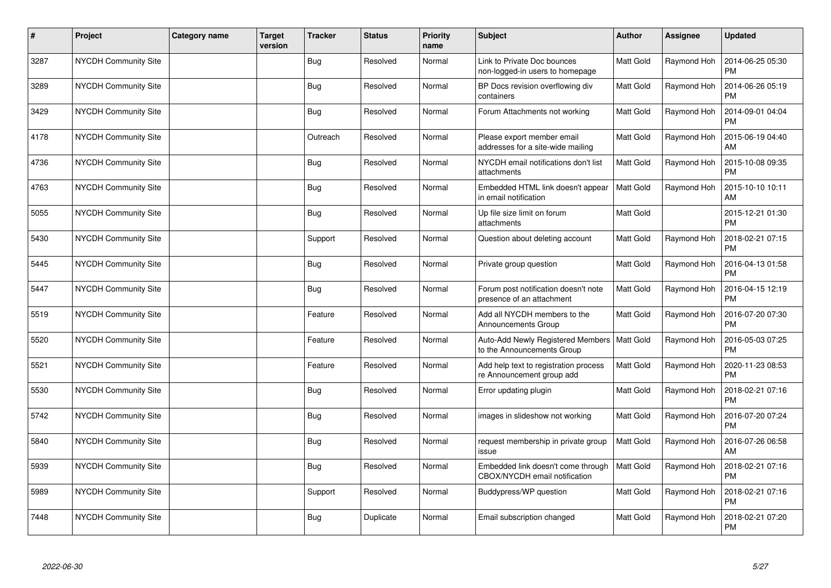| $\vert$ # | Project                     | Category name | Target<br>version | <b>Tracker</b> | <b>Status</b> | <b>Priority</b><br>name | <b>Subject</b>                                                      | <b>Author</b>    | <b>Assignee</b> | <b>Updated</b>                |
|-----------|-----------------------------|---------------|-------------------|----------------|---------------|-------------------------|---------------------------------------------------------------------|------------------|-----------------|-------------------------------|
| 3287      | NYCDH Community Site        |               |                   | Bug            | Resolved      | Normal                  | Link to Private Doc bounces<br>non-logged-in users to homepage      | <b>Matt Gold</b> | Raymond Hoh     | 2014-06-25 05:30<br><b>PM</b> |
| 3289      | <b>NYCDH Community Site</b> |               |                   | Bug            | Resolved      | Normal                  | BP Docs revision overflowing div<br>containers                      | Matt Gold        | Raymond Hoh     | 2014-06-26 05:19<br><b>PM</b> |
| 3429      | NYCDH Community Site        |               |                   | <b>Bug</b>     | Resolved      | Normal                  | Forum Attachments not working                                       | Matt Gold        | Raymond Hoh     | 2014-09-01 04:04<br><b>PM</b> |
| 4178      | <b>NYCDH Community Site</b> |               |                   | Outreach       | Resolved      | Normal                  | Please export member email<br>addresses for a site-wide mailing     | <b>Matt Gold</b> | Raymond Hoh     | 2015-06-19 04:40<br>AM        |
| 4736      | <b>NYCDH Community Site</b> |               |                   | <b>Bug</b>     | Resolved      | Normal                  | NYCDH email notifications don't list<br>attachments                 | Matt Gold        | Raymond Hoh     | 2015-10-08 09:35<br><b>PM</b> |
| 4763      | NYCDH Community Site        |               |                   | Bug            | Resolved      | Normal                  | Embedded HTML link doesn't appear<br>in email notification          | <b>Matt Gold</b> | Raymond Hoh     | 2015-10-10 10:11<br>AM        |
| 5055      | NYCDH Community Site        |               |                   | <b>Bug</b>     | Resolved      | Normal                  | Up file size limit on forum<br>attachments                          | Matt Gold        |                 | 2015-12-21 01:30<br><b>PM</b> |
| 5430      | NYCDH Community Site        |               |                   | Support        | Resolved      | Normal                  | Question about deleting account                                     | <b>Matt Gold</b> | Raymond Hoh     | 2018-02-21 07:15<br><b>PM</b> |
| 5445      | <b>NYCDH Community Site</b> |               |                   | <b>Bug</b>     | Resolved      | Normal                  | Private group question                                              | <b>Matt Gold</b> | Raymond Hoh     | 2016-04-13 01:58<br><b>PM</b> |
| 5447      | <b>NYCDH Community Site</b> |               |                   | <b>Bug</b>     | Resolved      | Normal                  | Forum post notification doesn't note<br>presence of an attachment   | Matt Gold        | Raymond Hoh     | 2016-04-15 12:19<br><b>PM</b> |
| 5519      | NYCDH Community Site        |               |                   | Feature        | Resolved      | Normal                  | Add all NYCDH members to the<br>Announcements Group                 | <b>Matt Gold</b> | Raymond Hoh     | 2016-07-20 07:30<br><b>PM</b> |
| 5520      | NYCDH Community Site        |               |                   | Feature        | Resolved      | Normal                  | Auto-Add Newly Registered Members<br>to the Announcements Group     | <b>Matt Gold</b> | Raymond Hoh     | 2016-05-03 07:25<br><b>PM</b> |
| 5521      | <b>NYCDH Community Site</b> |               |                   | Feature        | Resolved      | Normal                  | Add help text to registration process<br>re Announcement group add  | Matt Gold        | Raymond Hoh     | 2020-11-23 08:53<br><b>PM</b> |
| 5530      | NYCDH Community Site        |               |                   | <b>Bug</b>     | Resolved      | Normal                  | Error updating plugin                                               | <b>Matt Gold</b> | Raymond Hoh     | 2018-02-21 07:16<br><b>PM</b> |
| 5742      | NYCDH Community Site        |               |                   | <b>Bug</b>     | Resolved      | Normal                  | images in slideshow not working                                     | Matt Gold        | Raymond Hoh     | 2016-07-20 07:24<br><b>PM</b> |
| 5840      | <b>NYCDH Community Site</b> |               |                   | Bug            | Resolved      | Normal                  | request membership in private group<br>issue                        | <b>Matt Gold</b> | Raymond Hoh     | 2016-07-26 06:58<br>AM        |
| 5939      | NYCDH Community Site        |               |                   | <b>Bug</b>     | Resolved      | Normal                  | Embedded link doesn't come through<br>CBOX/NYCDH email notification | <b>Matt Gold</b> | Raymond Hoh     | 2018-02-21 07:16<br><b>PM</b> |
| 5989      | NYCDH Community Site        |               |                   | Support        | Resolved      | Normal                  | Buddypress/WP question                                              | Matt Gold        | Raymond Hoh     | 2018-02-21 07:16<br><b>PM</b> |
| 7448      | NYCDH Community Site        |               |                   | <b>Bug</b>     | Duplicate     | Normal                  | Email subscription changed                                          | Matt Gold        | Raymond Hoh     | 2018-02-21 07:20<br><b>PM</b> |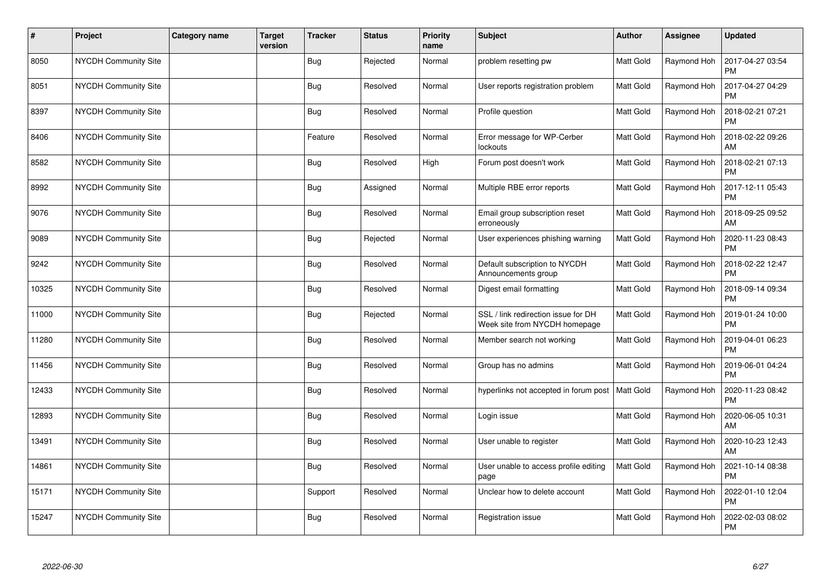| $\sharp$ | Project                     | <b>Category name</b> | <b>Target</b><br>version | <b>Tracker</b> | <b>Status</b> | <b>Priority</b><br>name | <b>Subject</b>                                                       | Author           | Assignee    | <b>Updated</b>                |
|----------|-----------------------------|----------------------|--------------------------|----------------|---------------|-------------------------|----------------------------------------------------------------------|------------------|-------------|-------------------------------|
| 8050     | NYCDH Community Site        |                      |                          | Bug            | Rejected      | Normal                  | problem resetting pw                                                 | <b>Matt Gold</b> | Raymond Hoh | 2017-04-27 03:54<br><b>PM</b> |
| 8051     | NYCDH Community Site        |                      |                          | <b>Bug</b>     | Resolved      | Normal                  | User reports registration problem                                    | <b>Matt Gold</b> | Raymond Hoh | 2017-04-27 04:29<br><b>PM</b> |
| 8397     | NYCDH Community Site        |                      |                          | Bug            | Resolved      | Normal                  | Profile question                                                     | <b>Matt Gold</b> | Raymond Hoh | 2018-02-21 07:21<br><b>PM</b> |
| 8406     | <b>NYCDH Community Site</b> |                      |                          | Feature        | Resolved      | Normal                  | Error message for WP-Cerber<br>lockouts                              | <b>Matt Gold</b> | Raymond Hoh | 2018-02-22 09:26<br>AM        |
| 8582     | NYCDH Community Site        |                      |                          | <b>Bug</b>     | Resolved      | High                    | Forum post doesn't work                                              | Matt Gold        | Raymond Hoh | 2018-02-21 07:13<br><b>PM</b> |
| 8992     | NYCDH Community Site        |                      |                          | <b>Bug</b>     | Assigned      | Normal                  | Multiple RBE error reports                                           | <b>Matt Gold</b> | Raymond Hoh | 2017-12-11 05:43<br><b>PM</b> |
| 9076     | NYCDH Community Site        |                      |                          | <b>Bug</b>     | Resolved      | Normal                  | Email group subscription reset<br>erroneously                        | Matt Gold        | Raymond Hoh | 2018-09-25 09:52<br>AM        |
| 9089     | <b>NYCDH Community Site</b> |                      |                          | Bug            | Rejected      | Normal                  | User experiences phishing warning                                    | Matt Gold        | Raymond Hoh | 2020-11-23 08:43<br><b>PM</b> |
| 9242     | NYCDH Community Site        |                      |                          | <b>Bug</b>     | Resolved      | Normal                  | Default subscription to NYCDH<br>Announcements group                 | <b>Matt Gold</b> | Raymond Hoh | 2018-02-22 12:47<br><b>PM</b> |
| 10325    | NYCDH Community Site        |                      |                          | <b>Bug</b>     | Resolved      | Normal                  | Digest email formatting                                              | Matt Gold        | Raymond Hoh | 2018-09-14 09:34<br><b>PM</b> |
| 11000    | <b>NYCDH Community Site</b> |                      |                          | Bug            | Rejected      | Normal                  | SSL / link redirection issue for DH<br>Week site from NYCDH homepage | <b>Matt Gold</b> | Raymond Hoh | 2019-01-24 10:00<br><b>PM</b> |
| 11280    | NYCDH Community Site        |                      |                          | <b>Bug</b>     | Resolved      | Normal                  | Member search not working                                            | Matt Gold        | Raymond Hoh | 2019-04-01 06:23<br><b>PM</b> |
| 11456    | <b>NYCDH Community Site</b> |                      |                          | <b>Bug</b>     | Resolved      | Normal                  | Group has no admins                                                  | <b>Matt Gold</b> | Raymond Hoh | 2019-06-01 04:24<br><b>PM</b> |
| 12433    | NYCDH Community Site        |                      |                          | <b>Bug</b>     | Resolved      | Normal                  | hyperlinks not accepted in forum post                                | Matt Gold        | Raymond Hoh | 2020-11-23 08:42<br><b>PM</b> |
| 12893    | <b>NYCDH Community Site</b> |                      |                          | <b>Bug</b>     | Resolved      | Normal                  | Login issue                                                          | Matt Gold        | Raymond Hoh | 2020-06-05 10:31<br>AM        |
| 13491    | <b>NYCDH Community Site</b> |                      |                          | Bug            | Resolved      | Normal                  | User unable to register                                              | Matt Gold        | Raymond Hoh | 2020-10-23 12:43<br>AM        |
| 14861    | NYCDH Community Site        |                      |                          | Bug            | Resolved      | Normal                  | User unable to access profile editing<br>page                        | Matt Gold        | Raymond Hoh | 2021-10-14 08:38<br>PM        |
| 15171    | NYCDH Community Site        |                      |                          | Support        | Resolved      | Normal                  | Unclear how to delete account                                        | <b>Matt Gold</b> | Raymond Hoh | 2022-01-10 12:04<br><b>PM</b> |
| 15247    | NYCDH Community Site        |                      |                          | <b>Bug</b>     | Resolved      | Normal                  | Registration issue                                                   | Matt Gold        | Raymond Hoh | 2022-02-03 08:02<br><b>PM</b> |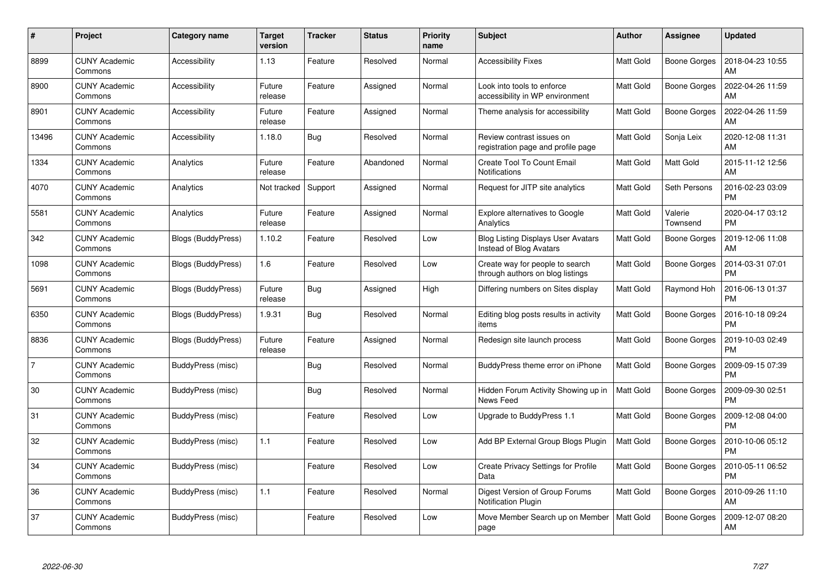| $\#$           | <b>Project</b>                  | Category name      | <b>Target</b><br>version | <b>Tracker</b> | <b>Status</b> | <b>Priority</b><br>name | <b>Subject</b>                                                       | Author           | Assignee            | <b>Updated</b>                |
|----------------|---------------------------------|--------------------|--------------------------|----------------|---------------|-------------------------|----------------------------------------------------------------------|------------------|---------------------|-------------------------------|
| 8899           | <b>CUNY Academic</b><br>Commons | Accessibility      | 1.13                     | Feature        | Resolved      | Normal                  | <b>Accessibility Fixes</b>                                           | <b>Matt Gold</b> | <b>Boone Gorges</b> | 2018-04-23 10:55<br>AM        |
| 8900           | <b>CUNY Academic</b><br>Commons | Accessibility      | Future<br>release        | Feature        | Assigned      | Normal                  | Look into tools to enforce<br>accessibility in WP environment        | <b>Matt Gold</b> | Boone Gorges        | 2022-04-26 11:59<br>AM        |
| 8901           | <b>CUNY Academic</b><br>Commons | Accessibility      | Future<br>release        | Feature        | Assigned      | Normal                  | Theme analysis for accessibility                                     | <b>Matt Gold</b> | Boone Gorges        | 2022-04-26 11:59<br>AM        |
| 13496          | <b>CUNY Academic</b><br>Commons | Accessibility      | 1.18.0                   | Bug            | Resolved      | Normal                  | Review contrast issues on<br>registration page and profile page      | <b>Matt Gold</b> | Sonja Leix          | 2020-12-08 11:31<br>AM        |
| 1334           | <b>CUNY Academic</b><br>Commons | Analytics          | Future<br>release        | Feature        | Abandoned     | Normal                  | Create Tool To Count Email<br><b>Notifications</b>                   | <b>Matt Gold</b> | Matt Gold           | 2015-11-12 12:56<br>AM        |
| 4070           | <b>CUNY Academic</b><br>Commons | Analytics          | Not tracked              | Support        | Assigned      | Normal                  | Request for JITP site analytics                                      | <b>Matt Gold</b> | Seth Persons        | 2016-02-23 03:09<br><b>PM</b> |
| 5581           | <b>CUNY Academic</b><br>Commons | Analytics          | Future<br>release        | Feature        | Assigned      | Normal                  | Explore alternatives to Google<br>Analytics                          | <b>Matt Gold</b> | Valerie<br>Townsend | 2020-04-17 03:12<br><b>PM</b> |
| 342            | <b>CUNY Academic</b><br>Commons | Blogs (BuddyPress) | 1.10.2                   | Feature        | Resolved      | Low                     | <b>Blog Listing Displays User Avatars</b><br>Instead of Blog Avatars | <b>Matt Gold</b> | Boone Gorges        | 2019-12-06 11:08<br>AM        |
| 1098           | <b>CUNY Academic</b><br>Commons | Blogs (BuddyPress) | 1.6                      | Feature        | Resolved      | Low                     | Create way for people to search<br>through authors on blog listings  | <b>Matt Gold</b> | <b>Boone Gorges</b> | 2014-03-31 07:01<br><b>PM</b> |
| 5691           | <b>CUNY Academic</b><br>Commons | Blogs (BuddyPress) | Future<br>release        | Bug            | Assigned      | High                    | Differing numbers on Sites display                                   | <b>Matt Gold</b> | Raymond Hoh         | 2016-06-13 01:37<br><b>PM</b> |
| 6350           | <b>CUNY Academic</b><br>Commons | Blogs (BuddyPress) | 1.9.31                   | <b>Bug</b>     | Resolved      | Normal                  | Editing blog posts results in activity<br>items                      | <b>Matt Gold</b> | <b>Boone Gorges</b> | 2016-10-18 09:24<br><b>PM</b> |
| 8836           | <b>CUNY Academic</b><br>Commons | Blogs (BuddyPress) | Future<br>release        | Feature        | Assigned      | Normal                  | Redesign site launch process                                         | Matt Gold        | Boone Gorges        | 2019-10-03 02:49<br><b>PM</b> |
| $\overline{7}$ | <b>CUNY Academic</b><br>Commons | BuddyPress (misc)  |                          | Bug            | Resolved      | Normal                  | BuddyPress theme error on iPhone                                     | Matt Gold        | Boone Gorges        | 2009-09-15 07:39<br><b>PM</b> |
| 30             | <b>CUNY Academic</b><br>Commons | BuddyPress (misc)  |                          | <b>Bug</b>     | Resolved      | Normal                  | Hidden Forum Activity Showing up in<br>News Feed                     | <b>Matt Gold</b> | <b>Boone Gorges</b> | 2009-09-30 02:51<br><b>PM</b> |
| 31             | <b>CUNY Academic</b><br>Commons | BuddyPress (misc)  |                          | Feature        | Resolved      | Low                     | Upgrade to BuddyPress 1.1                                            | Matt Gold        | Boone Gorges        | 2009-12-08 04:00<br><b>PM</b> |
| 32             | <b>CUNY Academic</b><br>Commons | BuddyPress (misc)  | 1.1                      | Feature        | Resolved      | Low                     | Add BP External Group Blogs Plugin                                   | Matt Gold        | Boone Gorges        | 2010-10-06 05:12<br><b>PM</b> |
| 34             | <b>CUNY Academic</b><br>Commons | BuddyPress (misc)  |                          | Feature        | Resolved      | Low                     | <b>Create Privacy Settings for Profile</b><br>Data                   | <b>Matt Gold</b> | Boone Gorges        | 2010-05-11 06:52<br><b>PM</b> |
| 36             | <b>CUNY Academic</b><br>Commons | BuddyPress (misc)  | 1.1                      | Feature        | Resolved      | Normal                  | Digest Version of Group Forums<br><b>Notification Plugin</b>         | <b>Matt Gold</b> | <b>Boone Gorges</b> | 2010-09-26 11:10<br>AM        |
| 37             | <b>CUNY Academic</b><br>Commons | BuddyPress (misc)  |                          | Feature        | Resolved      | Low                     | Move Member Search up on Member<br>page                              | <b>Matt Gold</b> | Boone Gorges        | 2009-12-07 08:20<br>AM        |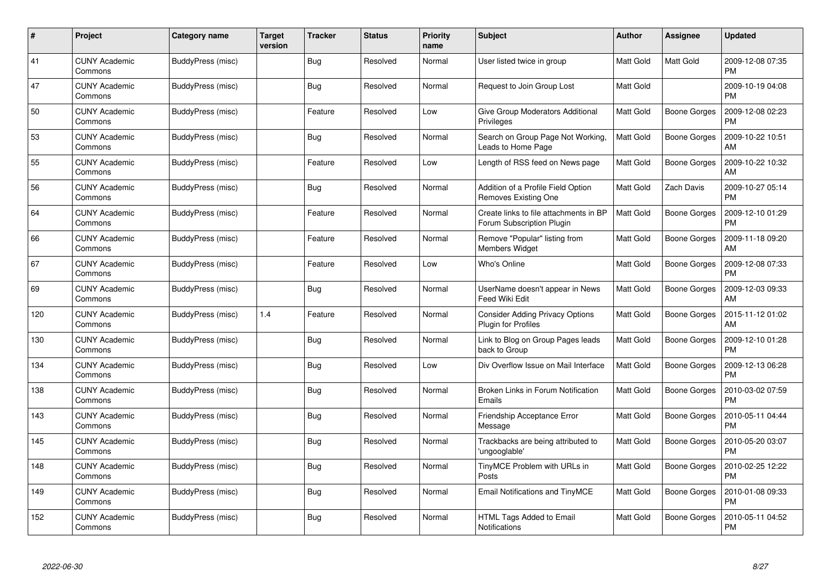| #   | Project                         | Category name     | <b>Target</b><br>version | <b>Tracker</b> | <b>Status</b> | <b>Priority</b><br>name | <b>Subject</b>                                                       | <b>Author</b>    | <b>Assignee</b>     | <b>Updated</b>                |
|-----|---------------------------------|-------------------|--------------------------|----------------|---------------|-------------------------|----------------------------------------------------------------------|------------------|---------------------|-------------------------------|
| 41  | <b>CUNY Academic</b><br>Commons | BuddyPress (misc) |                          | Bug            | Resolved      | Normal                  | User listed twice in group                                           | <b>Matt Gold</b> | <b>Matt Gold</b>    | 2009-12-08 07:35<br><b>PM</b> |
| 47  | <b>CUNY Academic</b><br>Commons | BuddyPress (misc) |                          | Bug            | Resolved      | Normal                  | Request to Join Group Lost                                           | <b>Matt Gold</b> |                     | 2009-10-19 04:08<br><b>PM</b> |
| 50  | <b>CUNY Academic</b><br>Commons | BuddyPress (misc) |                          | Feature        | Resolved      | Low                     | Give Group Moderators Additional<br>Privileges                       | <b>Matt Gold</b> | <b>Boone Gorges</b> | 2009-12-08 02:23<br><b>PM</b> |
| 53  | <b>CUNY Academic</b><br>Commons | BuddyPress (misc) |                          | Bug            | Resolved      | Normal                  | Search on Group Page Not Working,<br>Leads to Home Page              | Matt Gold        | Boone Gorges        | 2009-10-22 10:51<br>AM        |
| 55  | <b>CUNY Academic</b><br>Commons | BuddyPress (misc) |                          | Feature        | Resolved      | Low                     | Length of RSS feed on News page                                      | <b>Matt Gold</b> | <b>Boone Gorges</b> | 2009-10-22 10:32<br>AM        |
| 56  | <b>CUNY Academic</b><br>Commons | BuddyPress (misc) |                          | Bug            | Resolved      | Normal                  | Addition of a Profile Field Option<br>Removes Existing One           | Matt Gold        | Zach Davis          | 2009-10-27 05:14<br><b>PM</b> |
| 64  | <b>CUNY Academic</b><br>Commons | BuddyPress (misc) |                          | Feature        | Resolved      | Normal                  | Create links to file attachments in BP<br>Forum Subscription Plugin  | Matt Gold        | <b>Boone Gorges</b> | 2009-12-10 01:29<br><b>PM</b> |
| 66  | <b>CUNY Academic</b><br>Commons | BuddyPress (misc) |                          | Feature        | Resolved      | Normal                  | Remove "Popular" listing from<br><b>Members Widget</b>               | <b>Matt Gold</b> | <b>Boone Gorges</b> | 2009-11-18 09:20<br>AM        |
| 67  | <b>CUNY Academic</b><br>Commons | BuddyPress (misc) |                          | Feature        | Resolved      | Low                     | Who's Online                                                         | Matt Gold        | <b>Boone Gorges</b> | 2009-12-08 07:33<br><b>PM</b> |
| 69  | <b>CUNY Academic</b><br>Commons | BuddyPress (misc) |                          | Bug            | Resolved      | Normal                  | UserName doesn't appear in News<br>Feed Wiki Edit                    | <b>Matt Gold</b> | <b>Boone Gorges</b> | 2009-12-03 09:33<br>AM        |
| 120 | <b>CUNY Academic</b><br>Commons | BuddyPress (misc) | 1.4                      | Feature        | Resolved      | Normal                  | <b>Consider Adding Privacy Options</b><br><b>Plugin for Profiles</b> | Matt Gold        | Boone Gorges        | 2015-11-12 01:02<br>AM        |
| 130 | <b>CUNY Academic</b><br>Commons | BuddyPress (misc) |                          | Bug            | Resolved      | Normal                  | Link to Blog on Group Pages leads<br>back to Group                   | Matt Gold        | Boone Gorges        | 2009-12-10 01:28<br><b>PM</b> |
| 134 | <b>CUNY Academic</b><br>Commons | BuddyPress (misc) |                          | Bug            | Resolved      | Low                     | Div Overflow Issue on Mail Interface                                 | <b>Matt Gold</b> | Boone Gorges        | 2009-12-13 06:28<br><b>PM</b> |
| 138 | <b>CUNY Academic</b><br>Commons | BuddyPress (misc) |                          | Bug            | Resolved      | Normal                  | Broken Links in Forum Notification<br>Emails                         | <b>Matt Gold</b> | Boone Gorges        | 2010-03-02 07:59<br><b>PM</b> |
| 143 | <b>CUNY Academic</b><br>Commons | BuddyPress (misc) |                          | Bug            | Resolved      | Normal                  | Friendship Acceptance Error<br>Message                               | Matt Gold        | Boone Gorges        | 2010-05-11 04:44<br><b>PM</b> |
| 145 | <b>CUNY Academic</b><br>Commons | BuddyPress (misc) |                          | Bug            | Resolved      | Normal                  | Trackbacks are being attributed to<br>'ungooglable'                  | <b>Matt Gold</b> | Boone Gorges        | 2010-05-20 03:07<br><b>PM</b> |
| 148 | <b>CUNY Academic</b><br>Commons | BuddyPress (misc) |                          | Bug            | Resolved      | Normal                  | TinyMCE Problem with URLs in<br>Posts                                | <b>Matt Gold</b> | <b>Boone Gorges</b> | 2010-02-25 12:22<br><b>PM</b> |
| 149 | <b>CUNY Academic</b><br>Commons | BuddyPress (misc) |                          | Bug            | Resolved      | Normal                  | Email Notifications and TinyMCE                                      | Matt Gold        | <b>Boone Gorges</b> | 2010-01-08 09:33<br><b>PM</b> |
| 152 | CUNY Academic<br>Commons        | BuddyPress (misc) |                          | Bug            | Resolved      | Normal                  | HTML Tags Added to Email<br>Notifications                            | <b>Matt Gold</b> | Boone Gorges        | 2010-05-11 04:52<br>PM        |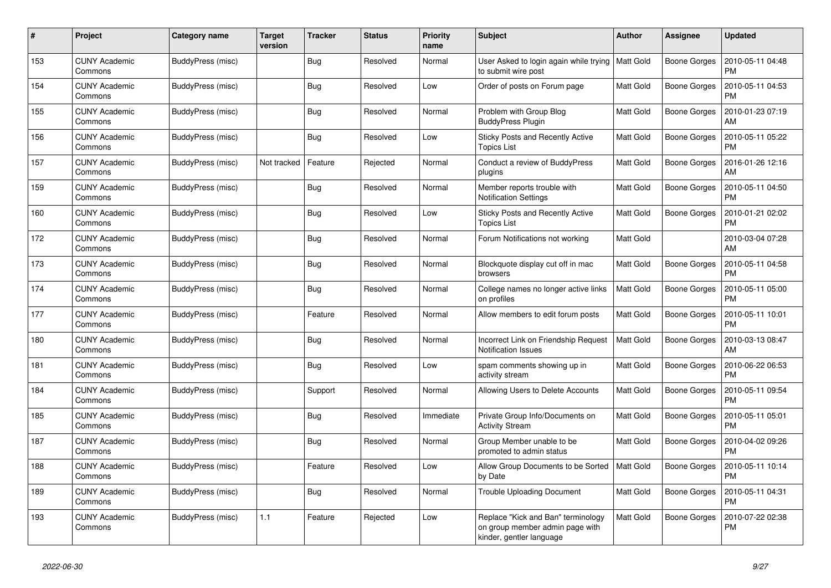| #   | Project                         | Category name     | Target<br>version | <b>Tracker</b> | <b>Status</b> | <b>Priority</b><br>name | <b>Subject</b>                                                                                    | <b>Author</b>    | <b>Assignee</b>     | <b>Updated</b>                |
|-----|---------------------------------|-------------------|-------------------|----------------|---------------|-------------------------|---------------------------------------------------------------------------------------------------|------------------|---------------------|-------------------------------|
| 153 | <b>CUNY Academic</b><br>Commons | BuddyPress (misc) |                   | <b>Bug</b>     | Resolved      | Normal                  | User Asked to login again while trying<br>to submit wire post                                     | <b>Matt Gold</b> | <b>Boone Gorges</b> | 2010-05-11 04:48<br><b>PM</b> |
| 154 | <b>CUNY Academic</b><br>Commons | BuddyPress (misc) |                   | Bug            | Resolved      | Low                     | Order of posts on Forum page                                                                      | <b>Matt Gold</b> | Boone Gorges        | 2010-05-11 04:53<br>PM        |
| 155 | <b>CUNY Academic</b><br>Commons | BuddyPress (misc) |                   | <b>Bug</b>     | Resolved      | Normal                  | Problem with Group Blog<br><b>BuddyPress Plugin</b>                                               | <b>Matt Gold</b> | Boone Gorges        | 2010-01-23 07:19<br>AM        |
| 156 | <b>CUNY Academic</b><br>Commons | BuddyPress (misc) |                   | Bug            | Resolved      | Low                     | <b>Sticky Posts and Recently Active</b><br><b>Topics List</b>                                     | <b>Matt Gold</b> | Boone Gorges        | 2010-05-11 05:22<br><b>PM</b> |
| 157 | <b>CUNY Academic</b><br>Commons | BuddyPress (misc) | Not tracked       | Feature        | Rejected      | Normal                  | Conduct a review of BuddyPress<br>plugins                                                         | Matt Gold        | Boone Gorges        | 2016-01-26 12:16<br>AM        |
| 159 | <b>CUNY Academic</b><br>Commons | BuddyPress (misc) |                   | Bug            | Resolved      | Normal                  | Member reports trouble with<br><b>Notification Settings</b>                                       | <b>Matt Gold</b> | Boone Gorges        | 2010-05-11 04:50<br><b>PM</b> |
| 160 | <b>CUNY Academic</b><br>Commons | BuddyPress (misc) |                   | <b>Bug</b>     | Resolved      | Low                     | Sticky Posts and Recently Active<br><b>Topics List</b>                                            | <b>Matt Gold</b> | Boone Gorges        | 2010-01-21 02:02<br><b>PM</b> |
| 172 | <b>CUNY Academic</b><br>Commons | BuddyPress (misc) |                   | Bug            | Resolved      | Normal                  | Forum Notifications not working                                                                   | Matt Gold        |                     | 2010-03-04 07:28<br>AM        |
| 173 | <b>CUNY Academic</b><br>Commons | BuddyPress (misc) |                   | <b>Bug</b>     | Resolved      | Normal                  | Blockquote display cut off in mac<br>browsers                                                     | <b>Matt Gold</b> | <b>Boone Gorges</b> | 2010-05-11 04:58<br><b>PM</b> |
| 174 | <b>CUNY Academic</b><br>Commons | BuddyPress (misc) |                   | <b>Bug</b>     | Resolved      | Normal                  | College names no longer active links<br>on profiles                                               | <b>Matt Gold</b> | Boone Gorges        | 2010-05-11 05:00<br><b>PM</b> |
| 177 | <b>CUNY Academic</b><br>Commons | BuddyPress (misc) |                   | Feature        | Resolved      | Normal                  | Allow members to edit forum posts                                                                 | <b>Matt Gold</b> | Boone Gorges        | 2010-05-11 10:01<br><b>PM</b> |
| 180 | <b>CUNY Academic</b><br>Commons | BuddyPress (misc) |                   | <b>Bug</b>     | Resolved      | Normal                  | Incorrect Link on Friendship Request<br><b>Notification Issues</b>                                | <b>Matt Gold</b> | <b>Boone Gorges</b> | 2010-03-13 08:47<br>AM        |
| 181 | <b>CUNY Academic</b><br>Commons | BuddyPress (misc) |                   | Bug            | Resolved      | Low                     | spam comments showing up in<br>activity stream                                                    | <b>Matt Gold</b> | Boone Gorges        | 2010-06-22 06:53<br>PM        |
| 184 | <b>CUNY Academic</b><br>Commons | BuddyPress (misc) |                   | Support        | Resolved      | Normal                  | Allowing Users to Delete Accounts                                                                 | <b>Matt Gold</b> | Boone Gorges        | 2010-05-11 09:54<br><b>PM</b> |
| 185 | <b>CUNY Academic</b><br>Commons | BuddyPress (misc) |                   | Bug            | Resolved      | Immediate               | Private Group Info/Documents on<br><b>Activity Stream</b>                                         | <b>Matt Gold</b> | Boone Gorges        | 2010-05-11 05:01<br><b>PM</b> |
| 187 | <b>CUNY Academic</b><br>Commons | BuddyPress (misc) |                   | Bug            | Resolved      | Normal                  | Group Member unable to be<br>promoted to admin status                                             | <b>Matt Gold</b> | Boone Gorges        | 2010-04-02 09:26<br><b>PM</b> |
| 188 | <b>CUNY Academic</b><br>Commons | BuddyPress (misc) |                   | Feature        | Resolved      | Low                     | Allow Group Documents to be Sorted<br>by Date                                                     | <b>Matt Gold</b> | Boone Gorges        | 2010-05-11 10:14<br>PM        |
| 189 | <b>CUNY Academic</b><br>Commons | BuddyPress (misc) |                   | Bug            | Resolved      | Normal                  | Trouble Uploading Document                                                                        | Matt Gold        | Boone Gorges        | 2010-05-11 04:31<br><b>PM</b> |
| 193 | CUNY Academic<br>Commons        | BuddyPress (misc) | 1.1               | Feature        | Rejected      | Low                     | Replace "Kick and Ban" terminology<br>on group member admin page with<br>kinder, gentler language | Matt Gold        | Boone Gorges        | 2010-07-22 02:38<br><b>PM</b> |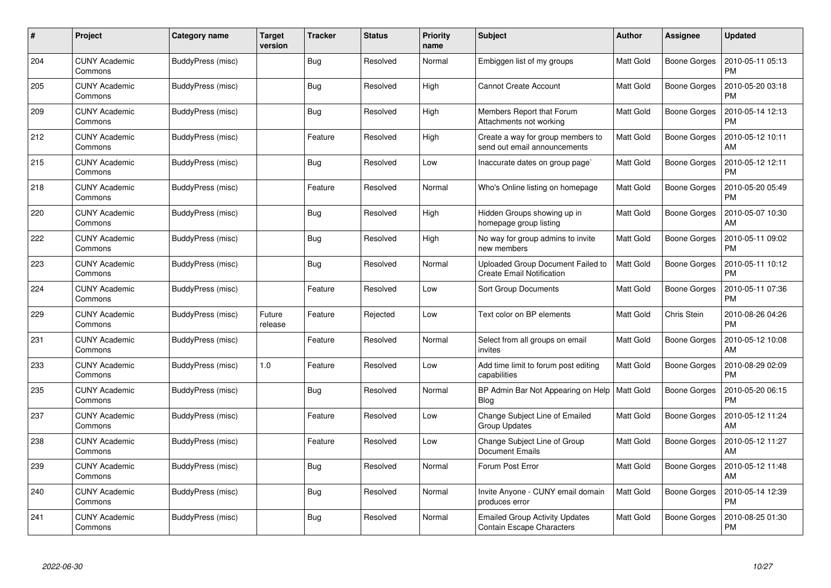| #   | Project                         | Category name     | <b>Target</b><br>version | <b>Tracker</b> | <b>Status</b> | <b>Priority</b><br>name | <b>Subject</b>                                                            | Author           | <b>Assignee</b>     | <b>Updated</b>                |
|-----|---------------------------------|-------------------|--------------------------|----------------|---------------|-------------------------|---------------------------------------------------------------------------|------------------|---------------------|-------------------------------|
| 204 | <b>CUNY Academic</b><br>Commons | BuddyPress (misc) |                          | Bug            | Resolved      | Normal                  | Embiggen list of my groups                                                | <b>Matt Gold</b> | Boone Gorges        | 2010-05-11 05:13<br><b>PM</b> |
| 205 | <b>CUNY Academic</b><br>Commons | BuddyPress (misc) |                          | Bug            | Resolved      | High                    | <b>Cannot Create Account</b>                                              | <b>Matt Gold</b> | Boone Gorges        | 2010-05-20 03:18<br><b>PM</b> |
| 209 | <b>CUNY Academic</b><br>Commons | BuddyPress (misc) |                          | <b>Bug</b>     | Resolved      | High                    | Members Report that Forum<br>Attachments not working                      | <b>Matt Gold</b> | Boone Gorges        | 2010-05-14 12:13<br><b>PM</b> |
| 212 | <b>CUNY Academic</b><br>Commons | BuddyPress (misc) |                          | Feature        | Resolved      | High                    | Create a way for group members to<br>send out email announcements         | Matt Gold        | Boone Gorges        | 2010-05-12 10:11<br>AM        |
| 215 | <b>CUNY Academic</b><br>Commons | BuddyPress (misc) |                          | Bug            | Resolved      | Low                     | Inaccurate dates on group page`                                           | <b>Matt Gold</b> | Boone Gorges        | 2010-05-12 12:11<br><b>PM</b> |
| 218 | <b>CUNY Academic</b><br>Commons | BuddyPress (misc) |                          | Feature        | Resolved      | Normal                  | Who's Online listing on homepage                                          | <b>Matt Gold</b> | Boone Gorges        | 2010-05-20 05:49<br><b>PM</b> |
| 220 | <b>CUNY Academic</b><br>Commons | BuddyPress (misc) |                          | Bug            | Resolved      | High                    | Hidden Groups showing up in<br>homepage group listing                     | Matt Gold        | <b>Boone Gorges</b> | 2010-05-07 10:30<br>AM        |
| 222 | <b>CUNY Academic</b><br>Commons | BuddyPress (misc) |                          | Bug            | Resolved      | High                    | No way for group admins to invite<br>new members                          | <b>Matt Gold</b> | Boone Gorges        | 2010-05-11 09:02<br><b>PM</b> |
| 223 | <b>CUNY Academic</b><br>Commons | BuddyPress (misc) |                          | <b>Bug</b>     | Resolved      | Normal                  | Uploaded Group Document Failed to<br><b>Create Email Notification</b>     | <b>Matt Gold</b> | Boone Gorges        | 2010-05-11 10:12<br><b>PM</b> |
| 224 | <b>CUNY Academic</b><br>Commons | BuddyPress (misc) |                          | Feature        | Resolved      | Low                     | <b>Sort Group Documents</b>                                               | <b>Matt Gold</b> | <b>Boone Gorges</b> | 2010-05-11 07:36<br>PM        |
| 229 | <b>CUNY Academic</b><br>Commons | BuddyPress (misc) | Future<br>release        | Feature        | Rejected      | Low                     | Text color on BP elements                                                 | <b>Matt Gold</b> | Chris Stein         | 2010-08-26 04:26<br><b>PM</b> |
| 231 | <b>CUNY Academic</b><br>Commons | BuddyPress (misc) |                          | Feature        | Resolved      | Normal                  | Select from all groups on email<br>invites                                | <b>Matt Gold</b> | Boone Gorges        | 2010-05-12 10:08<br>AM        |
| 233 | <b>CUNY Academic</b><br>Commons | BuddyPress (misc) | 1.0                      | Feature        | Resolved      | Low                     | Add time limit to forum post editing<br>capabilities                      | <b>Matt Gold</b> | Boone Gorges        | 2010-08-29 02:09<br><b>PM</b> |
| 235 | <b>CUNY Academic</b><br>Commons | BuddyPress (misc) |                          | Bug            | Resolved      | Normal                  | BP Admin Bar Not Appearing on Help<br>Blog                                | <b>Matt Gold</b> | Boone Gorges        | 2010-05-20 06:15<br><b>PM</b> |
| 237 | <b>CUNY Academic</b><br>Commons | BuddyPress (misc) |                          | Feature        | Resolved      | Low                     | Change Subject Line of Emailed<br>Group Updates                           | <b>Matt Gold</b> | Boone Gorges        | 2010-05-12 11:24<br>AM        |
| 238 | <b>CUNY Academic</b><br>Commons | BuddyPress (misc) |                          | Feature        | Resolved      | Low                     | Change Subject Line of Group<br><b>Document Emails</b>                    | <b>Matt Gold</b> | Boone Gorges        | 2010-05-12 11:27<br>AM        |
| 239 | <b>CUNY Academic</b><br>Commons | BuddyPress (misc) |                          | Bug            | Resolved      | Normal                  | Forum Post Error                                                          | <b>Matt Gold</b> | Boone Gorges        | 2010-05-12 11:48<br>AM        |
| 240 | <b>CUNY Academic</b><br>Commons | BuddyPress (misc) |                          | Bug            | Resolved      | Normal                  | Invite Anyone - CUNY email domain<br>produces error                       | Matt Gold        | <b>Boone Gorges</b> | 2010-05-14 12:39<br><b>PM</b> |
| 241 | CUNY Academic<br>Commons        | BuddyPress (misc) |                          | <b>Bug</b>     | Resolved      | Normal                  | <b>Emailed Group Activity Updates</b><br><b>Contain Escape Characters</b> | <b>Matt Gold</b> | Boone Gorges        | 2010-08-25 01:30<br>PM        |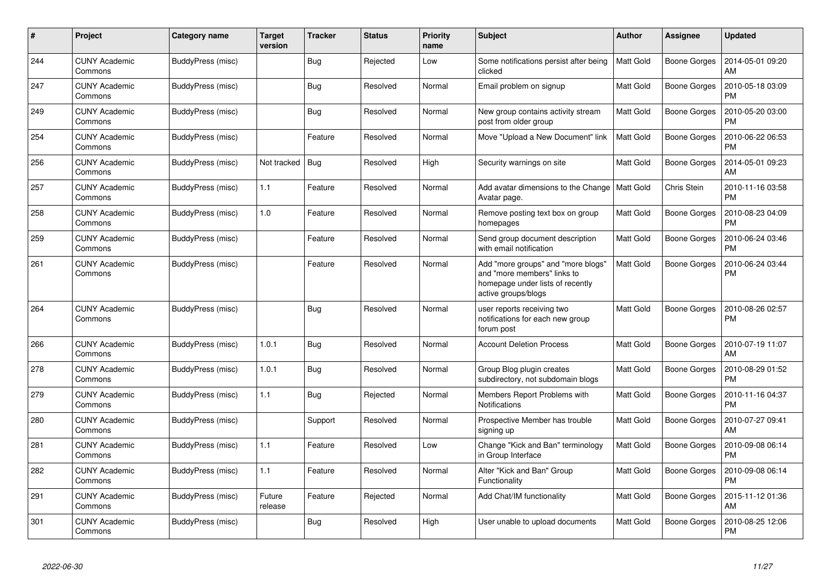| #   | Project                         | Category name     | <b>Target</b><br>version | <b>Tracker</b> | <b>Status</b> | <b>Priority</b><br>name | <b>Subject</b>                                                                                                               | <b>Author</b>    | <b>Assignee</b>     | <b>Updated</b>                |
|-----|---------------------------------|-------------------|--------------------------|----------------|---------------|-------------------------|------------------------------------------------------------------------------------------------------------------------------|------------------|---------------------|-------------------------------|
| 244 | <b>CUNY Academic</b><br>Commons | BuddyPress (misc) |                          | Bug            | Rejected      | Low                     | Some notifications persist after being<br>clicked                                                                            | <b>Matt Gold</b> | <b>Boone Gorges</b> | 2014-05-01 09:20<br>AM        |
| 247 | <b>CUNY Academic</b><br>Commons | BuddyPress (misc) |                          | Bug            | Resolved      | Normal                  | Email problem on signup                                                                                                      | <b>Matt Gold</b> | Boone Gorges        | 2010-05-18 03:09<br><b>PM</b> |
| 249 | <b>CUNY Academic</b><br>Commons | BuddyPress (misc) |                          | Bug            | Resolved      | Normal                  | New group contains activity stream<br>post from older group                                                                  | <b>Matt Gold</b> | Boone Gorges        | 2010-05-20 03:00<br><b>PM</b> |
| 254 | <b>CUNY Academic</b><br>Commons | BuddyPress (misc) |                          | Feature        | Resolved      | Normal                  | Move "Upload a New Document" link                                                                                            | <b>Matt Gold</b> | Boone Gorges        | 2010-06-22 06:53<br><b>PM</b> |
| 256 | <b>CUNY Academic</b><br>Commons | BuddyPress (misc) | Not tracked              | Bug            | Resolved      | High                    | Security warnings on site                                                                                                    | <b>Matt Gold</b> | Boone Gorges        | 2014-05-01 09:23<br>AM        |
| 257 | <b>CUNY Academic</b><br>Commons | BuddyPress (misc) | $1.1$                    | Feature        | Resolved      | Normal                  | Add avatar dimensions to the Change<br>Avatar page.                                                                          | Matt Gold        | Chris Stein         | 2010-11-16 03:58<br><b>PM</b> |
| 258 | <b>CUNY Academic</b><br>Commons | BuddyPress (misc) | 1.0                      | Feature        | Resolved      | Normal                  | Remove posting text box on group<br>homepages                                                                                | <b>Matt Gold</b> | Boone Gorges        | 2010-08-23 04:09<br><b>PM</b> |
| 259 | <b>CUNY Academic</b><br>Commons | BuddyPress (misc) |                          | Feature        | Resolved      | Normal                  | Send group document description<br>with email notification                                                                   | <b>Matt Gold</b> | <b>Boone Gorges</b> | 2010-06-24 03:46<br><b>PM</b> |
| 261 | <b>CUNY Academic</b><br>Commons | BuddyPress (misc) |                          | Feature        | Resolved      | Normal                  | Add "more groups" and "more blogs"<br>and "more members" links to<br>homepage under lists of recently<br>active groups/blogs | <b>Matt Gold</b> | <b>Boone Gorges</b> | 2010-06-24 03:44<br>PM        |
| 264 | <b>CUNY Academic</b><br>Commons | BuddyPress (misc) |                          | Bug            | Resolved      | Normal                  | user reports receiving two<br>notifications for each new group<br>forum post                                                 | <b>Matt Gold</b> | Boone Gorges        | 2010-08-26 02:57<br><b>PM</b> |
| 266 | <b>CUNY Academic</b><br>Commons | BuddyPress (misc) | 1.0.1                    | <b>Bug</b>     | Resolved      | Normal                  | <b>Account Deletion Process</b>                                                                                              | <b>Matt Gold</b> | Boone Gorges        | 2010-07-19 11:07<br>AM        |
| 278 | <b>CUNY Academic</b><br>Commons | BuddyPress (misc) | 1.0.1                    | Bug            | Resolved      | Normal                  | Group Blog plugin creates<br>subdirectory, not subdomain blogs                                                               | <b>Matt Gold</b> | Boone Gorges        | 2010-08-29 01:52<br><b>PM</b> |
| 279 | <b>CUNY Academic</b><br>Commons | BuddyPress (misc) | 1.1                      | Bug            | Rejected      | Normal                  | Members Report Problems with<br><b>Notifications</b>                                                                         | <b>Matt Gold</b> | Boone Gorges        | 2010-11-16 04:37<br><b>PM</b> |
| 280 | <b>CUNY Academic</b><br>Commons | BuddyPress (misc) |                          | Support        | Resolved      | Normal                  | Prospective Member has trouble<br>signing up                                                                                 | <b>Matt Gold</b> | Boone Gorges        | 2010-07-27 09:41<br>AM        |
| 281 | <b>CUNY Academic</b><br>Commons | BuddyPress (misc) | 1.1                      | Feature        | Resolved      | Low                     | Change "Kick and Ban" terminology<br>in Group Interface                                                                      | Matt Gold        | Boone Gorges        | 2010-09-08 06:14<br><b>PM</b> |
| 282 | <b>CUNY Academic</b><br>Commons | BuddyPress (misc) | 1.1                      | Feature        | Resolved      | Normal                  | Alter "Kick and Ban" Group<br>Functionality                                                                                  | <b>Matt Gold</b> | Boone Gorges        | 2010-09-08 06:14<br><b>PM</b> |
| 291 | <b>CUNY Academic</b><br>Commons | BuddyPress (misc) | Future<br>release        | Feature        | Rejected      | Normal                  | Add Chat/IM functionality                                                                                                    | <b>Matt Gold</b> | Boone Gorges        | 2015-11-12 01:36<br>AM        |
| 301 | <b>CUNY Academic</b><br>Commons | BuddyPress (misc) |                          | Bug            | Resolved      | High                    | User unable to upload documents                                                                                              | <b>Matt Gold</b> | Boone Gorges        | 2010-08-25 12:06<br><b>PM</b> |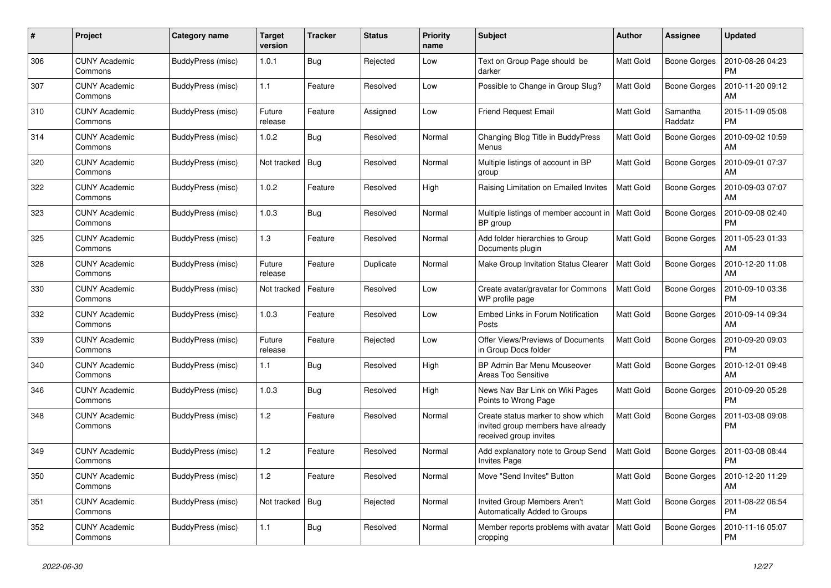| #   | Project                         | Category name     | <b>Target</b><br>version | <b>Tracker</b> | <b>Status</b> | <b>Priority</b><br>name | <b>Subject</b>                                                                                     | <b>Author</b>    | Assignee            | <b>Updated</b>                |
|-----|---------------------------------|-------------------|--------------------------|----------------|---------------|-------------------------|----------------------------------------------------------------------------------------------------|------------------|---------------------|-------------------------------|
| 306 | <b>CUNY Academic</b><br>Commons | BuddyPress (misc) | 1.0.1                    | Bug            | Rejected      | Low                     | Text on Group Page should be<br>darker                                                             | <b>Matt Gold</b> | <b>Boone Gorges</b> | 2010-08-26 04:23<br><b>PM</b> |
| 307 | <b>CUNY Academic</b><br>Commons | BuddyPress (misc) | 1.1                      | Feature        | Resolved      | Low                     | Possible to Change in Group Slug?                                                                  | <b>Matt Gold</b> | <b>Boone Gorges</b> | 2010-11-20 09:12<br>AM        |
| 310 | <b>CUNY Academic</b><br>Commons | BuddyPress (misc) | Future<br>release        | Feature        | Assigned      | Low                     | <b>Friend Request Email</b>                                                                        | <b>Matt Gold</b> | Samantha<br>Raddatz | 2015-11-09 05:08<br><b>PM</b> |
| 314 | <b>CUNY Academic</b><br>Commons | BuddyPress (misc) | 1.0.2                    | <b>Bug</b>     | Resolved      | Normal                  | Changing Blog Title in BuddyPress<br>Menus                                                         | <b>Matt Gold</b> | Boone Gorges        | 2010-09-02 10:59<br>AM        |
| 320 | <b>CUNY Academic</b><br>Commons | BuddyPress (misc) | Not tracked              | Bug            | Resolved      | Normal                  | Multiple listings of account in BP<br>group                                                        | Matt Gold        | Boone Gorges        | 2010-09-01 07:37<br>AM        |
| 322 | <b>CUNY Academic</b><br>Commons | BuddyPress (misc) | 1.0.2                    | Feature        | Resolved      | High                    | Raising Limitation on Emailed Invites                                                              | <b>Matt Gold</b> | Boone Gorges        | 2010-09-03 07:07<br>AM        |
| 323 | <b>CUNY Academic</b><br>Commons | BuddyPress (misc) | 1.0.3                    | <b>Bug</b>     | Resolved      | Normal                  | Multiple listings of member account in<br>BP group                                                 | <b>Matt Gold</b> | Boone Gorges        | 2010-09-08 02:40<br><b>PM</b> |
| 325 | <b>CUNY Academic</b><br>Commons | BuddyPress (misc) | $1.3$                    | Feature        | Resolved      | Normal                  | Add folder hierarchies to Group<br>Documents plugin                                                | <b>Matt Gold</b> | <b>Boone Gorges</b> | 2011-05-23 01:33<br>AM        |
| 328 | <b>CUNY Academic</b><br>Commons | BuddyPress (misc) | Future<br>release        | Feature        | Duplicate     | Normal                  | Make Group Invitation Status Clearer                                                               | <b>Matt Gold</b> | <b>Boone Gorges</b> | 2010-12-20 11:08<br>AM        |
| 330 | <b>CUNY Academic</b><br>Commons | BuddyPress (misc) | Not tracked              | Feature        | Resolved      | Low                     | Create avatar/gravatar for Commons<br>WP profile page                                              | <b>Matt Gold</b> | Boone Gorges        | 2010-09-10 03:36<br><b>PM</b> |
| 332 | <b>CUNY Academic</b><br>Commons | BuddyPress (misc) | 1.0.3                    | Feature        | Resolved      | Low                     | Embed Links in Forum Notification<br>Posts                                                         | <b>Matt Gold</b> | Boone Gorges        | 2010-09-14 09:34<br>AM        |
| 339 | <b>CUNY Academic</b><br>Commons | BuddyPress (misc) | Future<br>release        | Feature        | Rejected      | Low                     | Offer Views/Previews of Documents<br>in Group Docs folder                                          | Matt Gold        | <b>Boone Gorges</b> | 2010-09-20 09:03<br><b>PM</b> |
| 340 | <b>CUNY Academic</b><br>Commons | BuddyPress (misc) | 1.1                      | <b>Bug</b>     | Resolved      | High                    | BP Admin Bar Menu Mouseover<br>Areas Too Sensitive                                                 | Matt Gold        | Boone Gorges        | 2010-12-01 09:48<br>AM        |
| 346 | <b>CUNY Academic</b><br>Commons | BuddyPress (misc) | 1.0.3                    | <b>Bug</b>     | Resolved      | High                    | News Nav Bar Link on Wiki Pages<br>Points to Wrong Page                                            | <b>Matt Gold</b> | Boone Gorges        | 2010-09-20 05:28<br><b>PM</b> |
| 348 | <b>CUNY Academic</b><br>Commons | BuddyPress (misc) | 1.2                      | Feature        | Resolved      | Normal                  | Create status marker to show which<br>invited group members have already<br>received group invites | <b>Matt Gold</b> | Boone Gorges        | 2011-03-08 09:08<br><b>PM</b> |
| 349 | <b>CUNY Academic</b><br>Commons | BuddyPress (misc) | 1.2                      | Feature        | Resolved      | Normal                  | Add explanatory note to Group Send<br><b>Invites Page</b>                                          | <b>Matt Gold</b> | Boone Gorges        | 2011-03-08 08:44<br>PM        |
| 350 | <b>CUNY Academic</b><br>Commons | BuddyPress (misc) | 1.2                      | Feature        | Resolved      | Normal                  | Move "Send Invites" Button                                                                         | <b>Matt Gold</b> | Boone Gorges        | 2010-12-20 11:29<br>AM        |
| 351 | <b>CUNY Academic</b><br>Commons | BuddyPress (misc) | Not tracked              | Bug            | Rejected      | Normal                  | Invited Group Members Aren't<br>Automatically Added to Groups                                      | Matt Gold        | Boone Gorges        | 2011-08-22 06:54<br><b>PM</b> |
| 352 | <b>CUNY Academic</b><br>Commons | BuddyPress (misc) | 1.1                      | Bug            | Resolved      | Normal                  | Member reports problems with avatar<br>cropping                                                    | <b>Matt Gold</b> | Boone Gorges        | 2010-11-16 05:07<br><b>PM</b> |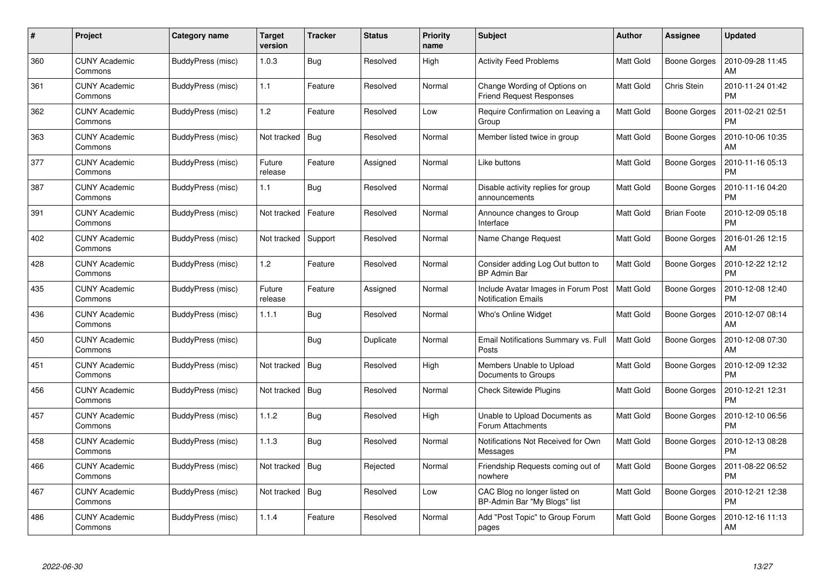| #   | Project                         | Category name     | Target<br>version | <b>Tracker</b> | <b>Status</b> | <b>Priority</b><br>name | <b>Subject</b>                                                    | <b>Author</b>    | Assignee            | <b>Updated</b>                |
|-----|---------------------------------|-------------------|-------------------|----------------|---------------|-------------------------|-------------------------------------------------------------------|------------------|---------------------|-------------------------------|
| 360 | <b>CUNY Academic</b><br>Commons | BuddyPress (misc) | 1.0.3             | Bug            | Resolved      | High                    | <b>Activity Feed Problems</b>                                     | <b>Matt Gold</b> | <b>Boone Gorges</b> | 2010-09-28 11:45<br>AM        |
| 361 | <b>CUNY Academic</b><br>Commons | BuddyPress (misc) | 1.1               | Feature        | Resolved      | Normal                  | Change Wording of Options on<br><b>Friend Request Responses</b>   | <b>Matt Gold</b> | Chris Stein         | 2010-11-24 01:42<br><b>PM</b> |
| 362 | <b>CUNY Academic</b><br>Commons | BuddyPress (misc) | 1.2               | Feature        | Resolved      | Low                     | Require Confirmation on Leaving a<br>Group                        | <b>Matt Gold</b> | <b>Boone Gorges</b> | 2011-02-21 02:51<br><b>PM</b> |
| 363 | CUNY Academic<br>Commons        | BuddyPress (misc) | Not tracked       | Bug            | Resolved      | Normal                  | Member listed twice in group                                      | Matt Gold        | Boone Gorges        | 2010-10-06 10:35<br>AM        |
| 377 | <b>CUNY Academic</b><br>Commons | BuddyPress (misc) | Future<br>release | Feature        | Assigned      | Normal                  | Like buttons                                                      | <b>Matt Gold</b> | Boone Gorges        | 2010-11-16 05:13<br><b>PM</b> |
| 387 | <b>CUNY Academic</b><br>Commons | BuddyPress (misc) | 1.1               | <b>Bug</b>     | Resolved      | Normal                  | Disable activity replies for group<br>announcements               | <b>Matt Gold</b> | Boone Gorges        | 2010-11-16 04:20<br><b>PM</b> |
| 391 | <b>CUNY Academic</b><br>Commons | BuddyPress (misc) | Not tracked       | Feature        | Resolved      | Normal                  | Announce changes to Group<br>Interface                            | Matt Gold        | <b>Brian Foote</b>  | 2010-12-09 05:18<br><b>PM</b> |
| 402 | <b>CUNY Academic</b><br>Commons | BuddyPress (misc) | Not tracked       | Support        | Resolved      | Normal                  | Name Change Request                                               | Matt Gold        | Boone Gorges        | 2016-01-26 12:15<br>AM        |
| 428 | <b>CUNY Academic</b><br>Commons | BuddyPress (misc) | 1.2               | Feature        | Resolved      | Normal                  | Consider adding Log Out button to<br><b>BP Admin Bar</b>          | <b>Matt Gold</b> | <b>Boone Gorges</b> | 2010-12-22 12:12<br><b>PM</b> |
| 435 | <b>CUNY Academic</b><br>Commons | BuddyPress (misc) | Future<br>release | Feature        | Assigned      | Normal                  | Include Avatar Images in Forum Post<br><b>Notification Emails</b> | <b>Matt Gold</b> | Boone Gorges        | 2010-12-08 12:40<br><b>PM</b> |
| 436 | <b>CUNY Academic</b><br>Commons | BuddyPress (misc) | 1.1.1             | Bug            | Resolved      | Normal                  | Who's Online Widget                                               | Matt Gold        | <b>Boone Gorges</b> | 2010-12-07 08:14<br>AM        |
| 450 | CUNY Academic<br>Commons        | BuddyPress (misc) |                   | Bug            | Duplicate     | Normal                  | Email Notifications Summary vs. Full<br>Posts                     | <b>Matt Gold</b> | Boone Gorges        | 2010-12-08 07:30<br>AM        |
| 451 | <b>CUNY Academic</b><br>Commons | BuddyPress (misc) | Not tracked       | Bug            | Resolved      | High                    | Members Unable to Upload<br>Documents to Groups                   | <b>Matt Gold</b> | Boone Gorges        | 2010-12-09 12:32<br><b>PM</b> |
| 456 | <b>CUNY Academic</b><br>Commons | BuddyPress (misc) | Not tracked       | Bug            | Resolved      | Normal                  | <b>Check Sitewide Plugins</b>                                     | Matt Gold        | Boone Gorges        | 2010-12-21 12:31<br><b>PM</b> |
| 457 | <b>CUNY Academic</b><br>Commons | BuddyPress (misc) | 1.1.2             | Bug            | Resolved      | High                    | Unable to Upload Documents as<br>Forum Attachments                | Matt Gold        | Boone Gorges        | 2010-12-10 06:56<br><b>PM</b> |
| 458 | <b>CUNY Academic</b><br>Commons | BuddyPress (misc) | 1.1.3             | Bug            | Resolved      | Normal                  | Notifications Not Received for Own<br>Messages                    | <b>Matt Gold</b> | <b>Boone Gorges</b> | 2010-12-13 08:28<br><b>PM</b> |
| 466 | <b>CUNY Academic</b><br>Commons | BuddyPress (misc) | Not tracked       | Bug            | Rejected      | Normal                  | Friendship Requests coming out of<br>nowhere                      | <b>Matt Gold</b> | Boone Gorges        | 2011-08-22 06:52<br><b>PM</b> |
| 467 | <b>CUNY Academic</b><br>Commons | BuddyPress (misc) | Not tracked       | Bug            | Resolved      | Low                     | CAC Blog no longer listed on<br>BP-Admin Bar "My Blogs" list      | Matt Gold        | Boone Gorges        | 2010-12-21 12:38<br><b>PM</b> |
| 486 | CUNY Academic<br>Commons        | BuddyPress (misc) | 1.1.4             | Feature        | Resolved      | Normal                  | Add "Post Topic" to Group Forum<br>pages                          | <b>Matt Gold</b> | Boone Gorges        | 2010-12-16 11:13<br>AM        |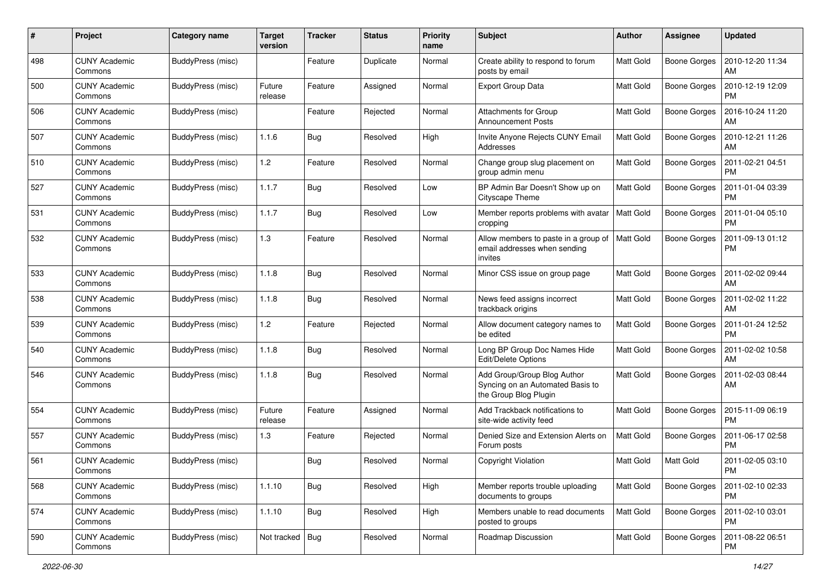| #   | Project                         | Category name     | <b>Target</b><br>version | <b>Tracker</b> | <b>Status</b> | <b>Priority</b><br>name | <b>Subject</b>                                                                           | Author           | Assignee            | <b>Updated</b>                |
|-----|---------------------------------|-------------------|--------------------------|----------------|---------------|-------------------------|------------------------------------------------------------------------------------------|------------------|---------------------|-------------------------------|
| 498 | <b>CUNY Academic</b><br>Commons | BuddyPress (misc) |                          | Feature        | Duplicate     | Normal                  | Create ability to respond to forum<br>posts by email                                     | Matt Gold        | <b>Boone Gorges</b> | 2010-12-20 11:34<br>AM        |
| 500 | <b>CUNY Academic</b><br>Commons | BuddyPress (misc) | Future<br>release        | Feature        | Assigned      | Normal                  | <b>Export Group Data</b>                                                                 | <b>Matt Gold</b> | <b>Boone Gorges</b> | 2010-12-19 12:09<br><b>PM</b> |
| 506 | <b>CUNY Academic</b><br>Commons | BuddyPress (misc) |                          | Feature        | Rejected      | Normal                  | Attachments for Group<br><b>Announcement Posts</b>                                       | Matt Gold        | <b>Boone Gorges</b> | 2016-10-24 11:20<br>AM        |
| 507 | <b>CUNY Academic</b><br>Commons | BuddyPress (misc) | 1.1.6                    | Bug            | Resolved      | High                    | Invite Anyone Rejects CUNY Email<br>Addresses                                            | <b>Matt Gold</b> | <b>Boone Gorges</b> | 2010-12-21 11:26<br>AM        |
| 510 | <b>CUNY Academic</b><br>Commons | BuddyPress (misc) | 1.2                      | Feature        | Resolved      | Normal                  | Change group slug placement on<br>group admin menu                                       | <b>Matt Gold</b> | <b>Boone Gorges</b> | 2011-02-21 04:51<br><b>PM</b> |
| 527 | <b>CUNY Academic</b><br>Commons | BuddyPress (misc) | 1.1.7                    | <b>Bug</b>     | Resolved      | Low                     | BP Admin Bar Doesn't Show up on<br>Cityscape Theme                                       | Matt Gold        | Boone Gorges        | 2011-01-04 03:39<br><b>PM</b> |
| 531 | <b>CUNY Academic</b><br>Commons | BuddyPress (misc) | 1.1.7                    | Bug            | Resolved      | Low                     | Member reports problems with avatar<br>cropping                                          | <b>Matt Gold</b> | Boone Gorges        | 2011-01-04 05:10<br><b>PM</b> |
| 532 | <b>CUNY Academic</b><br>Commons | BuddyPress (misc) | 1.3                      | Feature        | Resolved      | Normal                  | Allow members to paste in a group of<br>email addresses when sending<br>invites          | <b>Matt Gold</b> | <b>Boone Gorges</b> | 2011-09-13 01:12<br><b>PM</b> |
| 533 | <b>CUNY Academic</b><br>Commons | BuddyPress (misc) | 1.1.8                    | Bug            | Resolved      | Normal                  | Minor CSS issue on group page                                                            | <b>Matt Gold</b> | <b>Boone Gorges</b> | 2011-02-02 09:44<br>AM        |
| 538 | <b>CUNY Academic</b><br>Commons | BuddyPress (misc) | 1.1.8                    | <b>Bug</b>     | Resolved      | Normal                  | News feed assigns incorrect<br>trackback origins                                         | <b>Matt Gold</b> | Boone Gorges        | 2011-02-02 11:22<br>AM        |
| 539 | <b>CUNY Academic</b><br>Commons | BuddyPress (misc) | 1.2                      | Feature        | Rejected      | Normal                  | Allow document category names to<br>be edited                                            | <b>Matt Gold</b> | Boone Gorges        | 2011-01-24 12:52<br><b>PM</b> |
| 540 | <b>CUNY Academic</b><br>Commons | BuddyPress (misc) | 1.1.8                    | Bug            | Resolved      | Normal                  | Long BP Group Doc Names Hide<br>Edit/Delete Options                                      | <b>Matt Gold</b> | <b>Boone Gorges</b> | 2011-02-02 10:58<br>AM        |
| 546 | <b>CUNY Academic</b><br>Commons | BuddyPress (misc) | 1.1.8                    | Bug            | Resolved      | Normal                  | Add Group/Group Blog Author<br>Syncing on an Automated Basis to<br>the Group Blog Plugin | Matt Gold        | <b>Boone Gorges</b> | 2011-02-03 08:44<br>AM        |
| 554 | <b>CUNY Academic</b><br>Commons | BuddyPress (misc) | Future<br>release        | Feature        | Assigned      | Normal                  | Add Trackback notifications to<br>site-wide activity feed                                | <b>Matt Gold</b> | Boone Gorges        | 2015-11-09 06:19<br><b>PM</b> |
| 557 | <b>CUNY Academic</b><br>Commons | BuddyPress (misc) | 1.3                      | Feature        | Rejected      | Normal                  | Denied Size and Extension Alerts on<br>Forum posts                                       | <b>Matt Gold</b> | <b>Boone Gorges</b> | 2011-06-17 02:58<br><b>PM</b> |
| 561 | <b>CUNY Academic</b><br>Commons | BuddyPress (misc) |                          | Bug            | Resolved      | Normal                  | Copyright Violation                                                                      | Matt Gold        | Matt Gold           | 2011-02-05 03:10<br>PM        |
| 568 | <b>CUNY Academic</b><br>Commons | BuddyPress (misc) | 1.1.10                   | Bug            | Resolved      | High                    | Member reports trouble uploading<br>documents to groups                                  | Matt Gold        | <b>Boone Gorges</b> | 2011-02-10 02:33<br>PM        |
| 574 | <b>CUNY Academic</b><br>Commons | BuddyPress (misc) | 1.1.10                   | <b>Bug</b>     | Resolved      | High                    | Members unable to read documents<br>posted to groups                                     | Matt Gold        | Boone Gorges        | 2011-02-10 03:01<br><b>PM</b> |
| 590 | <b>CUNY Academic</b><br>Commons | BuddyPress (misc) | Not tracked Bug          |                | Resolved      | Normal                  | Roadmap Discussion                                                                       | Matt Gold        | Boone Gorges        | 2011-08-22 06:51<br>PM        |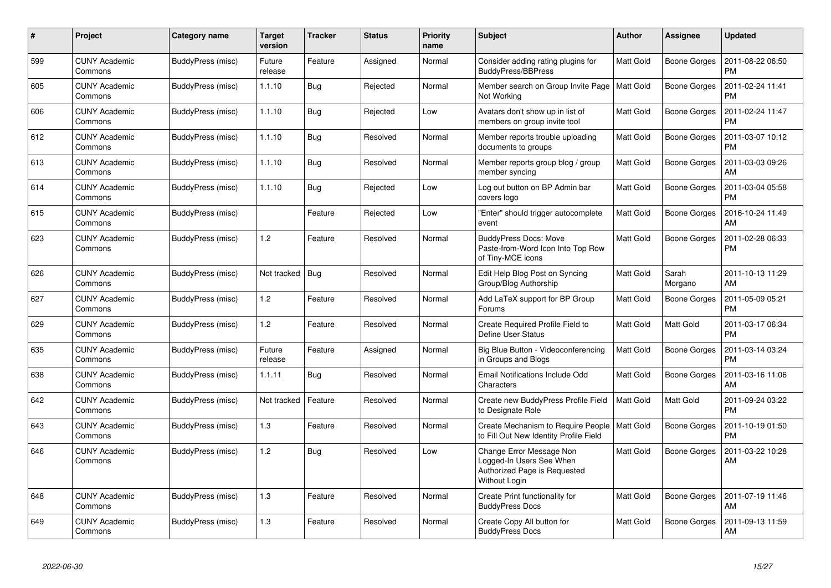| #   | Project                         | Category name     | <b>Target</b><br>version | <b>Tracker</b> | <b>Status</b> | <b>Priority</b><br>name | <b>Subject</b>                                                                                        | Author           | Assignee            | <b>Updated</b>                |
|-----|---------------------------------|-------------------|--------------------------|----------------|---------------|-------------------------|-------------------------------------------------------------------------------------------------------|------------------|---------------------|-------------------------------|
| 599 | <b>CUNY Academic</b><br>Commons | BuddyPress (misc) | Future<br>release        | Feature        | Assigned      | Normal                  | Consider adding rating plugins for<br><b>BuddyPress/BBPress</b>                                       | <b>Matt Gold</b> | Boone Gorges        | 2011-08-22 06:50<br><b>PM</b> |
| 605 | <b>CUNY Academic</b><br>Commons | BuddyPress (misc) | 1.1.10                   | Bug            | Rejected      | Normal                  | Member search on Group Invite Page<br>Not Working                                                     | <b>Matt Gold</b> | <b>Boone Gorges</b> | 2011-02-24 11:41<br><b>PM</b> |
| 606 | <b>CUNY Academic</b><br>Commons | BuddyPress (misc) | 1.1.10                   | Bug            | Rejected      | Low                     | Avatars don't show up in list of<br>members on group invite tool                                      | <b>Matt Gold</b> | <b>Boone Gorges</b> | 2011-02-24 11:47<br><b>PM</b> |
| 612 | <b>CUNY Academic</b><br>Commons | BuddyPress (misc) | 1.1.10                   | Bug            | Resolved      | Normal                  | Member reports trouble uploading<br>documents to groups                                               | <b>Matt Gold</b> | Boone Gorges        | 2011-03-07 10:12<br><b>PM</b> |
| 613 | <b>CUNY Academic</b><br>Commons | BuddyPress (misc) | 1.1.10                   | Bug            | Resolved      | Normal                  | Member reports group blog / group<br>member syncing                                                   | <b>Matt Gold</b> | <b>Boone Gorges</b> | 2011-03-03 09:26<br>АM        |
| 614 | <b>CUNY Academic</b><br>Commons | BuddyPress (misc) | 1.1.10                   | Bug            | Rejected      | Low                     | Log out button on BP Admin bar<br>covers logo                                                         | Matt Gold        | <b>Boone Gorges</b> | 2011-03-04 05:58<br><b>PM</b> |
| 615 | <b>CUNY Academic</b><br>Commons | BuddyPress (misc) |                          | Feature        | Rejected      | Low                     | "Enter" should trigger autocomplete<br>event                                                          | <b>Matt Gold</b> | Boone Gorges        | 2016-10-24 11:49<br>AM        |
| 623 | <b>CUNY Academic</b><br>Commons | BuddyPress (misc) | 1.2                      | Feature        | Resolved      | Normal                  | <b>BuddyPress Docs: Move</b><br>Paste-from-Word Icon Into Top Row<br>of Tiny-MCE icons                | <b>Matt Gold</b> | <b>Boone Gorges</b> | 2011-02-28 06:33<br><b>PM</b> |
| 626 | <b>CUNY Academic</b><br>Commons | BuddyPress (misc) | Not tracked              | Bug            | Resolved      | Normal                  | Edit Help Blog Post on Syncing<br>Group/Blog Authorship                                               | Matt Gold        | Sarah<br>Morgano    | 2011-10-13 11:29<br>AM        |
| 627 | <b>CUNY Academic</b><br>Commons | BuddyPress (misc) | 1.2                      | Feature        | Resolved      | Normal                  | Add LaTeX support for BP Group<br>Forums                                                              | <b>Matt Gold</b> | <b>Boone Gorges</b> | 2011-05-09 05:21<br><b>PM</b> |
| 629 | <b>CUNY Academic</b><br>Commons | BuddyPress (misc) | 1.2                      | Feature        | Resolved      | Normal                  | Create Required Profile Field to<br>Define User Status                                                | <b>Matt Gold</b> | Matt Gold           | 2011-03-17 06:34<br><b>PM</b> |
| 635 | <b>CUNY Academic</b><br>Commons | BuddyPress (misc) | Future<br>release        | Feature        | Assigned      | Normal                  | Big Blue Button - Videoconferencing<br>in Groups and Blogs                                            | Matt Gold        | Boone Gorges        | 2011-03-14 03:24<br><b>PM</b> |
| 638 | <b>CUNY Academic</b><br>Commons | BuddyPress (misc) | 1.1.11                   | Bug            | Resolved      | Normal                  | Email Notifications Include Odd<br>Characters                                                         | <b>Matt Gold</b> | <b>Boone Gorges</b> | 2011-03-16 11:06<br>AM        |
| 642 | <b>CUNY Academic</b><br>Commons | BuddyPress (misc) | Not tracked              | Feature        | Resolved      | Normal                  | Create new BuddyPress Profile Field<br>to Designate Role                                              | Matt Gold        | Matt Gold           | 2011-09-24 03:22<br><b>PM</b> |
| 643 | <b>CUNY Academic</b><br>Commons | BuddyPress (misc) | 1.3                      | Feature        | Resolved      | Normal                  | Create Mechanism to Require People<br>to Fill Out New Identity Profile Field                          | <b>Matt Gold</b> | Boone Gorges        | 2011-10-19 01:50<br><b>PM</b> |
| 646 | <b>CUNY Academic</b><br>Commons | BuddyPress (misc) | 1.2                      | Bug            | Resolved      | Low                     | Change Error Message Non<br>Logged-In Users See When<br>Authorized Page is Requested<br>Without Login | <b>Matt Gold</b> | Boone Gorges        | 2011-03-22 10:28<br>AM        |
| 648 | <b>CUNY Academic</b><br>Commons | BuddyPress (misc) | 1.3                      | Feature        | Resolved      | Normal                  | Create Print functionality for<br><b>BuddyPress Docs</b>                                              | Matt Gold        | <b>Boone Gorges</b> | 2011-07-19 11:46<br>AM        |
| 649 | <b>CUNY Academic</b><br>Commons | BuddyPress (misc) | 1.3                      | Feature        | Resolved      | Normal                  | Create Copy All button for<br><b>BuddyPress Docs</b>                                                  | Matt Gold        | Boone Gorges        | 2011-09-13 11:59<br>AM        |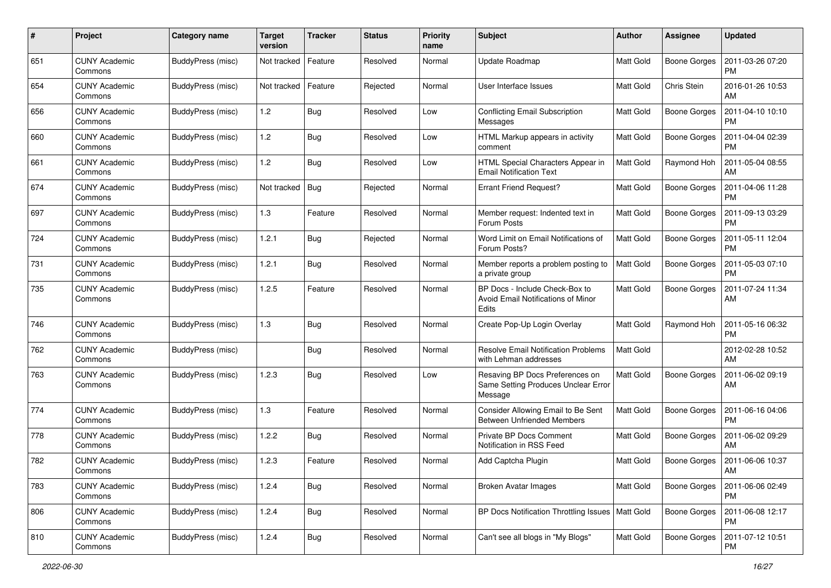| #   | Project                         | Category name     | <b>Target</b><br>version | <b>Tracker</b> | <b>Status</b> | <b>Priority</b><br>name | <b>Subject</b>                                                                    | <b>Author</b>    | Assignee            | <b>Updated</b>                |
|-----|---------------------------------|-------------------|--------------------------|----------------|---------------|-------------------------|-----------------------------------------------------------------------------------|------------------|---------------------|-------------------------------|
| 651 | <b>CUNY Academic</b><br>Commons | BuddyPress (misc) | Not tracked              | Feature        | Resolved      | Normal                  | Update Roadmap                                                                    | Matt Gold        | <b>Boone Gorges</b> | 2011-03-26 07:20<br>PM        |
| 654 | <b>CUNY Academic</b><br>Commons | BuddyPress (misc) | Not tracked              | Feature        | Rejected      | Normal                  | User Interface Issues                                                             | <b>Matt Gold</b> | Chris Stein         | 2016-01-26 10:53<br>AM        |
| 656 | <b>CUNY Academic</b><br>Commons | BuddyPress (misc) | 1.2                      | Bug            | Resolved      | Low                     | <b>Conflicting Email Subscription</b><br>Messages                                 | Matt Gold        | <b>Boone Gorges</b> | 2011-04-10 10:10<br><b>PM</b> |
| 660 | <b>CUNY Academic</b><br>Commons | BuddyPress (misc) | 1.2                      | Bug            | Resolved      | Low                     | HTML Markup appears in activity<br>comment                                        | <b>Matt Gold</b> | <b>Boone Gorges</b> | 2011-04-04 02:39<br><b>PM</b> |
| 661 | <b>CUNY Academic</b><br>Commons | BuddyPress (misc) | 1.2                      | Bug            | Resolved      | Low                     | HTML Special Characters Appear in<br><b>Email Notification Text</b>               | <b>Matt Gold</b> | Raymond Hoh         | 2011-05-04 08:55<br>AM        |
| 674 | <b>CUNY Academic</b><br>Commons | BuddyPress (misc) | Not tracked              | Bug            | Rejected      | Normal                  | <b>Errant Friend Request?</b>                                                     | <b>Matt Gold</b> | Boone Gorges        | 2011-04-06 11:28<br><b>PM</b> |
| 697 | <b>CUNY Academic</b><br>Commons | BuddyPress (misc) | 1.3                      | Feature        | Resolved      | Normal                  | Member request: Indented text in<br>Forum Posts                                   | <b>Matt Gold</b> | Boone Gorges        | 2011-09-13 03:29<br><b>PM</b> |
| 724 | <b>CUNY Academic</b><br>Commons | BuddyPress (misc) | 1.2.1                    | Bug            | Rejected      | Normal                  | Word Limit on Email Notifications of<br>Forum Posts?                              | Matt Gold        | <b>Boone Gorges</b> | 2011-05-11 12:04<br>PM        |
| 731 | <b>CUNY Academic</b><br>Commons | BuddyPress (misc) | 1.2.1                    | Bug            | Resolved      | Normal                  | Member reports a problem posting to<br>a private group                            | <b>Matt Gold</b> | <b>Boone Gorges</b> | 2011-05-03 07:10<br><b>PM</b> |
| 735 | <b>CUNY Academic</b><br>Commons | BuddyPress (misc) | 1.2.5                    | Feature        | Resolved      | Normal                  | BP Docs - Include Check-Box to<br>Avoid Email Notifications of Minor<br>Edits     | Matt Gold        | <b>Boone Gorges</b> | 2011-07-24 11:34<br>AM        |
| 746 | <b>CUNY Academic</b><br>Commons | BuddyPress (misc) | 1.3                      | Bug            | Resolved      | Normal                  | Create Pop-Up Login Overlay                                                       | <b>Matt Gold</b> | Raymond Hoh         | 2011-05-16 06:32<br><b>PM</b> |
| 762 | <b>CUNY Academic</b><br>Commons | BuddyPress (misc) |                          | Bug            | Resolved      | Normal                  | <b>Resolve Email Notification Problems</b><br>with Lehman addresses               | <b>Matt Gold</b> |                     | 2012-02-28 10:52<br>AM        |
| 763 | <b>CUNY Academic</b><br>Commons | BuddyPress (misc) | 1.2.3                    | Bug            | Resolved      | Low                     | Resaving BP Docs Preferences on<br>Same Setting Produces Unclear Error<br>Message | Matt Gold        | <b>Boone Gorges</b> | 2011-06-02 09:19<br>AM        |
| 774 | <b>CUNY Academic</b><br>Commons | BuddyPress (misc) | 1.3                      | Feature        | Resolved      | Normal                  | Consider Allowing Email to Be Sent<br><b>Between Unfriended Members</b>           | Matt Gold        | Boone Gorges        | 2011-06-16 04:06<br><b>PM</b> |
| 778 | <b>CUNY Academic</b><br>Commons | BuddyPress (misc) | 1.2.2                    | <b>Bug</b>     | Resolved      | Normal                  | <b>Private BP Docs Comment</b><br>Notification in RSS Feed                        | <b>Matt Gold</b> | <b>Boone Gorges</b> | 2011-06-02 09:29<br>AM        |
| 782 | <b>CUNY Academic</b><br>Commons | BuddyPress (misc) | 1.2.3                    | Feature        | Resolved      | Normal                  | Add Captcha Plugin                                                                | Matt Gold        | Boone Gorges        | 2011-06-06 10:37<br>AM        |
| 783 | <b>CUNY Academic</b><br>Commons | BuddyPress (misc) | 1.2.4                    | Bug            | Resolved      | Normal                  | <b>Broken Avatar Images</b>                                                       | Matt Gold        | <b>Boone Gorges</b> | 2011-06-06 02:49<br><b>PM</b> |
| 806 | <b>CUNY Academic</b><br>Commons | BuddyPress (misc) | 1.2.4                    | <b>Bug</b>     | Resolved      | Normal                  | BP Docs Notification Throttling Issues   Matt Gold                                |                  | Boone Gorges        | 2011-06-08 12:17<br><b>PM</b> |
| 810 | <b>CUNY Academic</b><br>Commons | BuddyPress (misc) | 1.2.4                    | <b>Bug</b>     | Resolved      | Normal                  | Can't see all blogs in "My Blogs"                                                 | Matt Gold        | Boone Gorges        | 2011-07-12 10:51<br>PM        |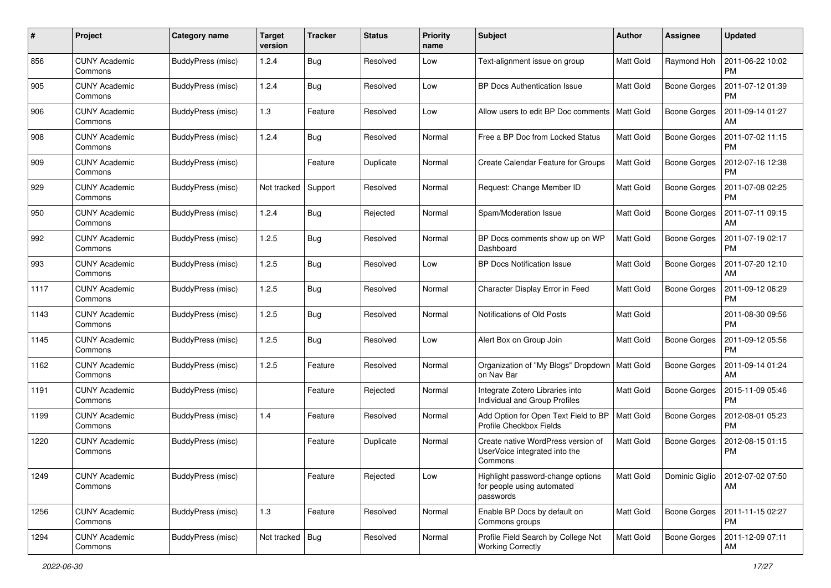| #    | Project                         | Category name            | <b>Target</b><br>version | <b>Tracker</b> | <b>Status</b> | <b>Priority</b><br>name | Subject                                                                        | Author           | Assignee            | <b>Updated</b>                |
|------|---------------------------------|--------------------------|--------------------------|----------------|---------------|-------------------------|--------------------------------------------------------------------------------|------------------|---------------------|-------------------------------|
| 856  | <b>CUNY Academic</b><br>Commons | BuddyPress (misc)        | 1.2.4                    | Bug            | Resolved      | Low                     | Text-alignment issue on group                                                  | <b>Matt Gold</b> | Raymond Hoh         | 2011-06-22 10:02<br><b>PM</b> |
| 905  | <b>CUNY Academic</b><br>Commons | BuddyPress (misc)        | 1.2.4                    | <b>Bug</b>     | Resolved      | Low                     | <b>BP Docs Authentication Issue</b>                                            | <b>Matt Gold</b> | <b>Boone Gorges</b> | 2011-07-12 01:39<br><b>PM</b> |
| 906  | CUNY Academic<br>Commons        | BuddyPress (misc)        | 1.3                      | Feature        | Resolved      | Low                     | Allow users to edit BP Doc comments                                            | <b>Matt Gold</b> | <b>Boone Gorges</b> | 2011-09-14 01:27<br>AM        |
| 908  | <b>CUNY Academic</b><br>Commons | BuddyPress (misc)        | 1.2.4                    | Bug            | Resolved      | Normal                  | Free a BP Doc from Locked Status                                               | Matt Gold        | <b>Boone Gorges</b> | 2011-07-02 11:15<br>PM        |
| 909  | <b>CUNY Academic</b><br>Commons | BuddyPress (misc)        |                          | Feature        | Duplicate     | Normal                  | Create Calendar Feature for Groups                                             | <b>Matt Gold</b> | <b>Boone Gorges</b> | 2012-07-16 12:38<br><b>PM</b> |
| 929  | <b>CUNY Academic</b><br>Commons | BuddyPress (misc)        | Not tracked              | Support        | Resolved      | Normal                  | Request: Change Member ID                                                      | <b>Matt Gold</b> | Boone Gorges        | 2011-07-08 02:25<br><b>PM</b> |
| 950  | <b>CUNY Academic</b><br>Commons | BuddyPress (misc)        | 1.2.4                    | Bug            | Rejected      | Normal                  | Spam/Moderation Issue                                                          | Matt Gold        | <b>Boone Gorges</b> | 2011-07-11 09:15<br>AM        |
| 992  | <b>CUNY Academic</b><br>Commons | BuddyPress (misc)        | 1.2.5                    | <b>Bug</b>     | Resolved      | Normal                  | BP Docs comments show up on WP<br>Dashboard                                    | <b>Matt Gold</b> | Boone Gorges        | 2011-07-19 02:17<br>PM        |
| 993  | <b>CUNY Academic</b><br>Commons | BuddyPress (misc)        | 1.2.5                    | <b>Bug</b>     | Resolved      | Low                     | <b>BP Docs Notification Issue</b>                                              | <b>Matt Gold</b> | Boone Gorges        | 2011-07-20 12:10<br>AM        |
| 1117 | <b>CUNY Academic</b><br>Commons | BuddyPress (misc)        | 1.2.5                    | <b>Bug</b>     | Resolved      | Normal                  | Character Display Error in Feed                                                | <b>Matt Gold</b> | <b>Boone Gorges</b> | 2011-09-12 06:29<br><b>PM</b> |
| 1143 | <b>CUNY Academic</b><br>Commons | BuddyPress (misc)        | 1.2.5                    | Bug            | Resolved      | Normal                  | Notifications of Old Posts                                                     | <b>Matt Gold</b> |                     | 2011-08-30 09:56<br>PM        |
| 1145 | <b>CUNY Academic</b><br>Commons | BuddyPress (misc)        | 1.2.5                    | <b>Bug</b>     | Resolved      | Low                     | Alert Box on Group Join                                                        | <b>Matt Gold</b> | <b>Boone Gorges</b> | 2011-09-12 05:56<br><b>PM</b> |
| 1162 | <b>CUNY Academic</b><br>Commons | BuddyPress (misc)        | 1.2.5                    | Feature        | Resolved      | Normal                  | Organization of "My Blogs" Dropdown<br>on Nav Bar                              | <b>Matt Gold</b> | Boone Gorges        | 2011-09-14 01:24<br>AM        |
| 1191 | <b>CUNY Academic</b><br>Commons | BuddyPress (misc)        |                          | Feature        | Rejected      | Normal                  | Integrate Zotero Libraries into<br>Individual and Group Profiles               | Matt Gold        | <b>Boone Gorges</b> | 2015-11-09 05:46<br><b>PM</b> |
| 1199 | <b>CUNY Academic</b><br>Commons | BuddyPress (misc)        | 1.4                      | Feature        | Resolved      | Normal                  | Add Option for Open Text Field to BP<br>Profile Checkbox Fields                | <b>Matt Gold</b> | <b>Boone Gorges</b> | 2012-08-01 05:23<br>PM        |
| 1220 | <b>CUNY Academic</b><br>Commons | BuddyPress (misc)        |                          | Feature        | Duplicate     | Normal                  | Create native WordPress version of<br>UserVoice integrated into the<br>Commons | <b>Matt Gold</b> | <b>Boone Gorges</b> | 2012-08-15 01:15<br><b>PM</b> |
| 1249 | <b>CUNY Academic</b><br>Commons | <b>BuddyPress</b> (misc) |                          | Feature        | Rejected      | Low                     | Highlight password-change options<br>for people using automated<br>passwords   | Matt Gold        | Dominic Giglio      | 2012-07-02 07:50<br>AM        |
| 1256 | <b>CUNY Academic</b><br>Commons | BuddyPress (misc)        | 1.3                      | Feature        | Resolved      | Normal                  | Enable BP Docs by default on<br>Commons groups                                 | Matt Gold        | <b>Boone Gorges</b> | 2011-11-15 02:27<br>PM        |
| 1294 | <b>CUNY Academic</b><br>Commons | BuddyPress (misc)        | Not tracked   Bug        |                | Resolved      | Normal                  | Profile Field Search by College Not<br><b>Working Correctly</b>                | Matt Gold        | Boone Gorges        | 2011-12-09 07:11<br>AM        |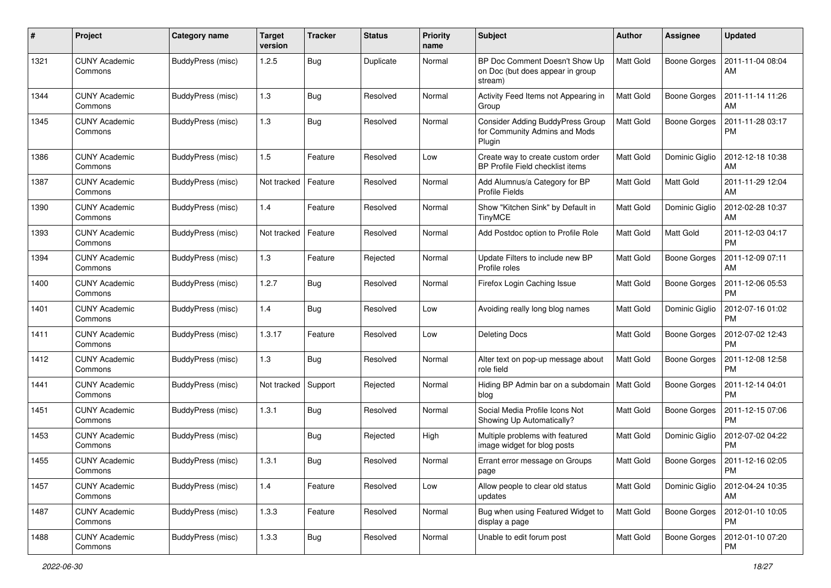| #    | Project                         | <b>Category name</b> | <b>Target</b><br>version | <b>Tracker</b> | <b>Status</b> | Priority<br>name | Subject                                                                       | Author           | Assignee            | <b>Updated</b>                |
|------|---------------------------------|----------------------|--------------------------|----------------|---------------|------------------|-------------------------------------------------------------------------------|------------------|---------------------|-------------------------------|
| 1321 | <b>CUNY Academic</b><br>Commons | BuddyPress (misc)    | 1.2.5                    | <b>Bug</b>     | Duplicate     | Normal           | BP Doc Comment Doesn't Show Up<br>on Doc (but does appear in group<br>stream) | <b>Matt Gold</b> | <b>Boone Gorges</b> | 2011-11-04 08:04<br>AM        |
| 1344 | <b>CUNY Academic</b><br>Commons | BuddyPress (misc)    | 1.3                      | Bug            | Resolved      | Normal           | Activity Feed Items not Appearing in<br>Group                                 | <b>Matt Gold</b> | <b>Boone Gorges</b> | 2011-11-14 11:26<br>AM        |
| 1345 | <b>CUNY Academic</b><br>Commons | BuddyPress (misc)    | 1.3                      | Bug            | Resolved      | Normal           | Consider Adding BuddyPress Group<br>for Community Admins and Mods<br>Plugin   | Matt Gold        | <b>Boone Gorges</b> | 2011-11-28 03:17<br>PM        |
| 1386 | <b>CUNY Academic</b><br>Commons | BuddyPress (misc)    | 1.5                      | Feature        | Resolved      | Low              | Create way to create custom order<br>BP Profile Field checklist items         | <b>Matt Gold</b> | Dominic Giglio      | 2012-12-18 10:38<br>AM        |
| 1387 | <b>CUNY Academic</b><br>Commons | BuddyPress (misc)    | Not tracked              | Feature        | Resolved      | Normal           | Add Alumnus/a Category for BP<br><b>Profile Fields</b>                        | <b>Matt Gold</b> | Matt Gold           | 2011-11-29 12:04<br>AM        |
| 1390 | <b>CUNY Academic</b><br>Commons | BuddyPress (misc)    | 1.4                      | Feature        | Resolved      | Normal           | Show "Kitchen Sink" by Default in<br><b>TinyMCE</b>                           | Matt Gold        | Dominic Giglio      | 2012-02-28 10:37<br>AM        |
| 1393 | <b>CUNY Academic</b><br>Commons | BuddyPress (misc)    | Not tracked              | Feature        | Resolved      | Normal           | Add Postdoc option to Profile Role                                            | <b>Matt Gold</b> | Matt Gold           | 2011-12-03 04:17<br><b>PM</b> |
| 1394 | <b>CUNY Academic</b><br>Commons | BuddyPress (misc)    | 1.3                      | Feature        | Rejected      | Normal           | Update Filters to include new BP<br>Profile roles                             | <b>Matt Gold</b> | Boone Gorges        | 2011-12-09 07:11<br>AM        |
| 1400 | <b>CUNY Academic</b><br>Commons | BuddyPress (misc)    | 1.2.7                    | Bug            | Resolved      | Normal           | Firefox Login Caching Issue                                                   | Matt Gold        | Boone Gorges        | 2011-12-06 05:53<br><b>PM</b> |
| 1401 | <b>CUNY Academic</b><br>Commons | BuddyPress (misc)    | 1.4                      | <b>Bug</b>     | Resolved      | Low              | Avoiding really long blog names                                               | Matt Gold        | Dominic Giglio      | 2012-07-16 01:02<br><b>PM</b> |
| 1411 | <b>CUNY Academic</b><br>Commons | BuddyPress (misc)    | 1.3.17                   | Feature        | Resolved      | Low              | <b>Deleting Docs</b>                                                          | <b>Matt Gold</b> | <b>Boone Gorges</b> | 2012-07-02 12:43<br><b>PM</b> |
| 1412 | <b>CUNY Academic</b><br>Commons | BuddyPress (misc)    | 1.3                      | <b>Bug</b>     | Resolved      | Normal           | Alter text on pop-up message about<br>role field                              | Matt Gold        | <b>Boone Gorges</b> | 2011-12-08 12:58<br><b>PM</b> |
| 1441 | <b>CUNY Academic</b><br>Commons | BuddyPress (misc)    | Not tracked              | Support        | Rejected      | Normal           | Hiding BP Admin bar on a subdomain<br>blog                                    | Matt Gold        | <b>Boone Gorges</b> | 2011-12-14 04:01<br><b>PM</b> |
| 1451 | <b>CUNY Academic</b><br>Commons | BuddyPress (misc)    | 1.3.1                    | Bug            | Resolved      | Normal           | Social Media Profile Icons Not<br>Showing Up Automatically?                   | <b>Matt Gold</b> | <b>Boone Gorges</b> | 2011-12-15 07:06<br><b>PM</b> |
| 1453 | <b>CUNY Academic</b><br>Commons | BuddyPress (misc)    |                          | Bug            | Rejected      | High             | Multiple problems with featured<br>image widget for blog posts                | <b>Matt Gold</b> | Dominic Giglio      | 2012-07-02 04:22<br><b>PM</b> |
| 1455 | <b>CUNY Academic</b><br>Commons | BuddyPress (misc)    | 1.3.1                    | Bug            | Resolved      | Normal           | Errant error message on Groups<br>page                                        | Matt Gold        | Boone Gorges        | 2011-12-16 02:05<br>PM        |
| 1457 | <b>CUNY Academic</b><br>Commons | BuddyPress (misc)    | 1.4                      | Feature        | Resolved      | Low              | Allow people to clear old status<br>updates                                   | Matt Gold        | Dominic Giglio      | 2012-04-24 10:35<br>AM        |
| 1487 | <b>CUNY Academic</b><br>Commons | BuddyPress (misc)    | 1.3.3                    | Feature        | Resolved      | Normal           | Bug when using Featured Widget to<br>display a page                           | Matt Gold        | <b>Boone Gorges</b> | 2012-01-10 10:05<br><b>PM</b> |
| 1488 | <b>CUNY Academic</b><br>Commons | BuddyPress (misc)    | 1.3.3                    | <b>Bug</b>     | Resolved      | Normal           | Unable to edit forum post                                                     | Matt Gold        | <b>Boone Gorges</b> | 2012-01-10 07:20<br><b>PM</b> |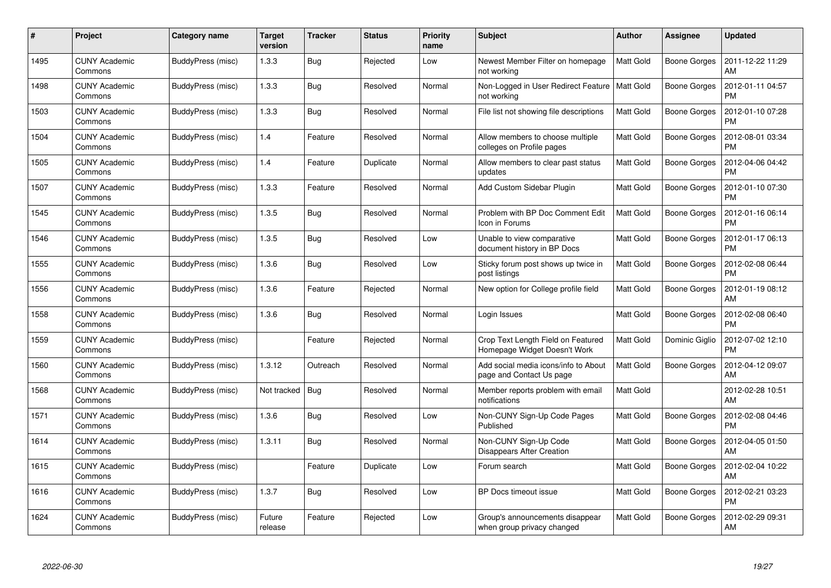| #    | Project                         | Category name     | Target<br>version | <b>Tracker</b> | <b>Status</b> | <b>Priority</b><br>name | <b>Subject</b>                                                     | <b>Author</b>    | Assignee            | <b>Updated</b>                |
|------|---------------------------------|-------------------|-------------------|----------------|---------------|-------------------------|--------------------------------------------------------------------|------------------|---------------------|-------------------------------|
| 1495 | <b>CUNY Academic</b><br>Commons | BuddyPress (misc) | 1.3.3             | <b>Bug</b>     | Rejected      | Low                     | Newest Member Filter on homepage<br>not working                    | <b>Matt Gold</b> | <b>Boone Gorges</b> | 2011-12-22 11:29<br>AM        |
| 1498 | <b>CUNY Academic</b><br>Commons | BuddyPress (misc) | 1.3.3             | Bug            | Resolved      | Normal                  | Non-Logged in User Redirect Feature<br>not working                 | <b>Matt Gold</b> | <b>Boone Gorges</b> | 2012-01-11 04:57<br><b>PM</b> |
| 1503 | <b>CUNY Academic</b><br>Commons | BuddyPress (misc) | 1.3.3             | Bug            | Resolved      | Normal                  | File list not showing file descriptions                            | <b>Matt Gold</b> | <b>Boone Gorges</b> | 2012-01-10 07:28<br><b>PM</b> |
| 1504 | <b>CUNY Academic</b><br>Commons | BuddyPress (misc) | 1.4               | Feature        | Resolved      | Normal                  | Allow members to choose multiple<br>colleges on Profile pages      | Matt Gold        | Boone Gorges        | 2012-08-01 03:34<br><b>PM</b> |
| 1505 | <b>CUNY Academic</b><br>Commons | BuddyPress (misc) | 1.4               | Feature        | Duplicate     | Normal                  | Allow members to clear past status<br>updates                      | <b>Matt Gold</b> | <b>Boone Gorges</b> | 2012-04-06 04:42<br><b>PM</b> |
| 1507 | <b>CUNY Academic</b><br>Commons | BuddyPress (misc) | 1.3.3             | Feature        | Resolved      | Normal                  | Add Custom Sidebar Plugin                                          | Matt Gold        | Boone Gorges        | 2012-01-10 07:30<br><b>PM</b> |
| 1545 | <b>CUNY Academic</b><br>Commons | BuddyPress (misc) | 1.3.5             | Bug            | Resolved      | Normal                  | Problem with BP Doc Comment Edit<br>Icon in Forums                 | <b>Matt Gold</b> | <b>Boone Gorges</b> | 2012-01-16 06:14<br><b>PM</b> |
| 1546 | <b>CUNY Academic</b><br>Commons | BuddyPress (misc) | 1.3.5             | <b>Bug</b>     | Resolved      | Low                     | Unable to view comparative<br>document history in BP Docs          | Matt Gold        | Boone Gorges        | 2012-01-17 06:13<br><b>PM</b> |
| 1555 | <b>CUNY Academic</b><br>Commons | BuddyPress (misc) | 1.3.6             | Bug            | Resolved      | Low                     | Sticky forum post shows up twice in<br>post listings               | <b>Matt Gold</b> | <b>Boone Gorges</b> | 2012-02-08 06:44<br><b>PM</b> |
| 1556 | <b>CUNY Academic</b><br>Commons | BuddyPress (misc) | 1.3.6             | Feature        | Rejected      | Normal                  | New option for College profile field                               | <b>Matt Gold</b> | Boone Gorges        | 2012-01-19 08:12<br>AM        |
| 1558 | <b>CUNY Academic</b><br>Commons | BuddyPress (misc) | 1.3.6             | <b>Bug</b>     | Resolved      | Normal                  | Login Issues                                                       | Matt Gold        | <b>Boone Gorges</b> | 2012-02-08 06:40<br><b>PM</b> |
| 1559 | <b>CUNY Academic</b><br>Commons | BuddyPress (misc) |                   | Feature        | Rejected      | Normal                  | Crop Text Length Field on Featured<br>Homepage Widget Doesn't Work | <b>Matt Gold</b> | Dominic Giglio      | 2012-07-02 12:10<br><b>PM</b> |
| 1560 | <b>CUNY Academic</b><br>Commons | BuddyPress (misc) | 1.3.12            | Outreach       | Resolved      | Normal                  | Add social media icons/info to About<br>page and Contact Us page   | <b>Matt Gold</b> | Boone Gorges        | 2012-04-12 09:07<br>AM        |
| 1568 | <b>CUNY Academic</b><br>Commons | BuddyPress (misc) | Not tracked       | Bug            | Resolved      | Normal                  | Member reports problem with email<br>notifications                 | Matt Gold        |                     | 2012-02-28 10:51<br>AM        |
| 1571 | <b>CUNY Academic</b><br>Commons | BuddyPress (misc) | 1.3.6             | <b>Bug</b>     | Resolved      | Low                     | Non-CUNY Sign-Up Code Pages<br>Published                           | Matt Gold        | Boone Gorges        | 2012-02-08 04:46<br><b>PM</b> |
| 1614 | <b>CUNY Academic</b><br>Commons | BuddyPress (misc) | 1.3.11            | Bug            | Resolved      | Normal                  | Non-CUNY Sign-Up Code<br><b>Disappears After Creation</b>          | <b>Matt Gold</b> | <b>Boone Gorges</b> | 2012-04-05 01:50<br>AM        |
| 1615 | <b>CUNY Academic</b><br>Commons | BuddyPress (misc) |                   | Feature        | Duplicate     | Low                     | Forum search                                                       | Matt Gold        | Boone Gorges        | 2012-02-04 10:22<br>AM        |
| 1616 | <b>CUNY Academic</b><br>Commons | BuddyPress (misc) | 1.3.7             | Bug            | Resolved      | Low                     | BP Docs timeout issue                                              | Matt Gold        | <b>Boone Gorges</b> | 2012-02-21 03:23<br><b>PM</b> |
| 1624 | CUNY Academic<br>Commons        | BuddyPress (misc) | Future<br>release | Feature        | Rejected      | Low                     | Group's announcements disappear<br>when group privacy changed      | <b>Matt Gold</b> | Boone Gorges        | 2012-02-29 09:31<br>AM        |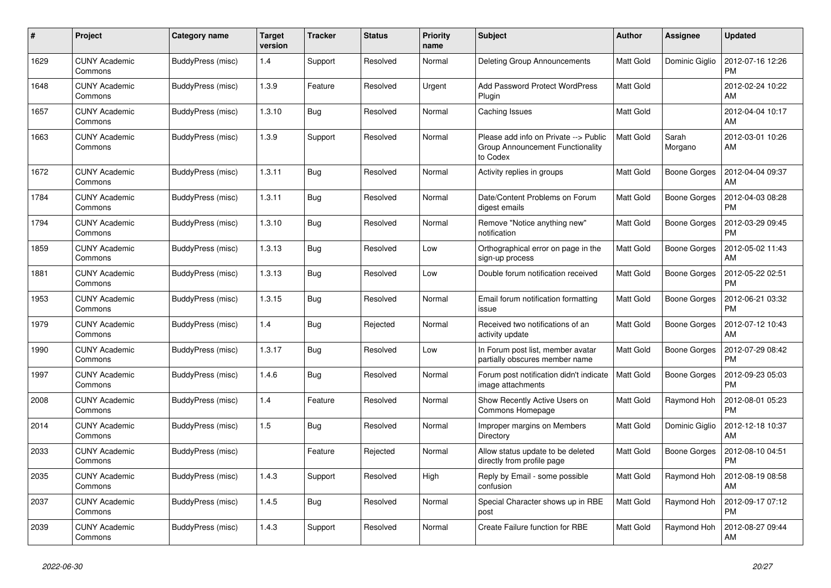| #    | Project                         | Category name     | Target<br>version | <b>Tracker</b> | <b>Status</b> | <b>Priority</b><br>name | <b>Subject</b>                                                                        | <b>Author</b>    | Assignee            | <b>Updated</b>                |
|------|---------------------------------|-------------------|-------------------|----------------|---------------|-------------------------|---------------------------------------------------------------------------------------|------------------|---------------------|-------------------------------|
| 1629 | <b>CUNY Academic</b><br>Commons | BuddyPress (misc) | 1.4               | Support        | Resolved      | Normal                  | Deleting Group Announcements                                                          | <b>Matt Gold</b> | Dominic Giglio      | 2012-07-16 12:26<br><b>PM</b> |
| 1648 | <b>CUNY Academic</b><br>Commons | BuddyPress (misc) | 1.3.9             | Feature        | Resolved      | Urgent                  | <b>Add Password Protect WordPress</b><br>Plugin                                       | <b>Matt Gold</b> |                     | 2012-02-24 10:22<br>AM        |
| 1657 | <b>CUNY Academic</b><br>Commons | BuddyPress (misc) | 1.3.10            | <b>Bug</b>     | Resolved      | Normal                  | Caching Issues                                                                        | Matt Gold        |                     | 2012-04-04 10:17<br>AM        |
| 1663 | <b>CUNY Academic</b><br>Commons | BuddyPress (misc) | 1.3.9             | Support        | Resolved      | Normal                  | Please add info on Private --> Public<br>Group Announcement Functionality<br>to Codex | Matt Gold        | Sarah<br>Morgano    | 2012-03-01 10:26<br>AM        |
| 1672 | <b>CUNY Academic</b><br>Commons | BuddyPress (misc) | 1.3.11            | <b>Bug</b>     | Resolved      | Normal                  | Activity replies in groups                                                            | <b>Matt Gold</b> | <b>Boone Gorges</b> | 2012-04-04 09:37<br>AM        |
| 1784 | <b>CUNY Academic</b><br>Commons | BuddyPress (misc) | 1.3.11            | Bug            | Resolved      | Normal                  | Date/Content Problems on Forum<br>digest emails                                       | <b>Matt Gold</b> | Boone Gorges        | 2012-04-03 08:28<br><b>PM</b> |
| 1794 | <b>CUNY Academic</b><br>Commons | BuddyPress (misc) | 1.3.10            | <b>Bug</b>     | Resolved      | Normal                  | Remove "Notice anything new"<br>notification                                          | Matt Gold        | <b>Boone Gorges</b> | 2012-03-29 09:45<br><b>PM</b> |
| 1859 | <b>CUNY Academic</b><br>Commons | BuddyPress (misc) | 1.3.13            | Bug            | Resolved      | Low                     | Orthographical error on page in the<br>sign-up process                                | Matt Gold        | Boone Gorges        | 2012-05-02 11:43<br>AM        |
| 1881 | <b>CUNY Academic</b><br>Commons | BuddyPress (misc) | 1.3.13            | <b>Bug</b>     | Resolved      | Low                     | Double forum notification received                                                    | Matt Gold        | Boone Gorges        | 2012-05-22 02:51<br><b>PM</b> |
| 1953 | <b>CUNY Academic</b><br>Commons | BuddyPress (misc) | 1.3.15            | Bug            | Resolved      | Normal                  | Email forum notification formatting<br>issue                                          | <b>Matt Gold</b> | Boone Gorges        | 2012-06-21 03:32<br><b>PM</b> |
| 1979 | <b>CUNY Academic</b><br>Commons | BuddyPress (misc) | 1.4               | Bug            | Rejected      | Normal                  | Received two notifications of an<br>activity update                                   | <b>Matt Gold</b> | Boone Gorges        | 2012-07-12 10:43<br>AM        |
| 1990 | <b>CUNY Academic</b><br>Commons | BuddyPress (misc) | 1.3.17            | Bug            | Resolved      | Low                     | In Forum post list, member avatar<br>partially obscures member name                   | Matt Gold        | Boone Gorges        | 2012-07-29 08:42<br><b>PM</b> |
| 1997 | <b>CUNY Academic</b><br>Commons | BuddyPress (misc) | 1.4.6             | Bug            | Resolved      | Normal                  | Forum post notification didn't indicate<br>image attachments                          | Matt Gold        | <b>Boone Gorges</b> | 2012-09-23 05:03<br><b>PM</b> |
| 2008 | <b>CUNY Academic</b><br>Commons | BuddyPress (misc) | 1.4               | Feature        | Resolved      | Normal                  | Show Recently Active Users on<br>Commons Homepage                                     | <b>Matt Gold</b> | Raymond Hoh         | 2012-08-01 05:23<br><b>PM</b> |
| 2014 | <b>CUNY Academic</b><br>Commons | BuddyPress (misc) | 1.5               | <b>Bug</b>     | Resolved      | Normal                  | Improper margins on Members<br>Directory                                              | <b>Matt Gold</b> | Dominic Giglio      | 2012-12-18 10:37<br>AM        |
| 2033 | <b>CUNY Academic</b><br>Commons | BuddyPress (misc) |                   | Feature        | Rejected      | Normal                  | Allow status update to be deleted<br>directly from profile page                       | <b>Matt Gold</b> | Boone Gorges        | 2012-08-10 04:51<br><b>PM</b> |
| 2035 | <b>CUNY Academic</b><br>Commons | BuddyPress (misc) | 1.4.3             | Support        | Resolved      | High                    | Reply by Email - some possible<br>confusion                                           | Matt Gold        | Raymond Hoh         | 2012-08-19 08:58<br>AM        |
| 2037 | <b>CUNY Academic</b><br>Commons | BuddyPress (misc) | 1.4.5             | Bug            | Resolved      | Normal                  | Special Character shows up in RBE<br>post                                             | Matt Gold        | Raymond Hoh         | 2012-09-17 07:12<br><b>PM</b> |
| 2039 | <b>CUNY Academic</b><br>Commons | BuddyPress (misc) | 1.4.3             | Support        | Resolved      | Normal                  | Create Failure function for RBE                                                       | Matt Gold        | Raymond Hoh         | 2012-08-27 09:44<br>AM        |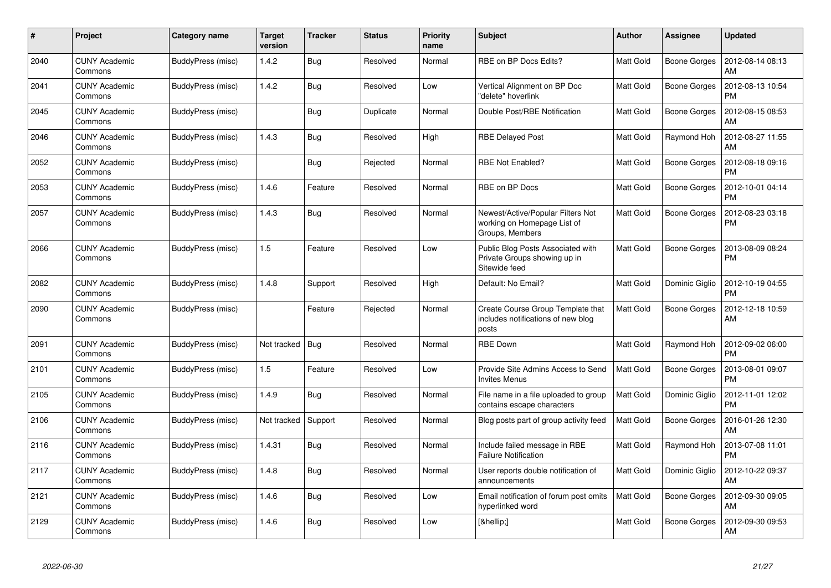| #    | Project                         | Category name     | <b>Target</b><br>version | <b>Tracker</b> | <b>Status</b> | <b>Priority</b><br>name | <b>Subject</b>                                                                      | <b>Author</b>    | Assignee            | <b>Updated</b>                |
|------|---------------------------------|-------------------|--------------------------|----------------|---------------|-------------------------|-------------------------------------------------------------------------------------|------------------|---------------------|-------------------------------|
| 2040 | <b>CUNY Academic</b><br>Commons | BuddyPress (misc) | 1.4.2                    | <b>Bug</b>     | Resolved      | Normal                  | RBE on BP Docs Edits?                                                               | <b>Matt Gold</b> | <b>Boone Gorges</b> | 2012-08-14 08:13<br>AM        |
| 2041 | <b>CUNY Academic</b><br>Commons | BuddyPress (misc) | 1.4.2                    | Bug            | Resolved      | Low                     | Vertical Alignment on BP Doc<br>"delete" hoverlink                                  | <b>Matt Gold</b> | <b>Boone Gorges</b> | 2012-08-13 10:54<br><b>PM</b> |
| 2045 | <b>CUNY Academic</b><br>Commons | BuddyPress (misc) |                          | <b>Bug</b>     | Duplicate     | Normal                  | Double Post/RBE Notification                                                        | <b>Matt Gold</b> | Boone Gorges        | 2012-08-15 08:53<br>AM        |
| 2046 | <b>CUNY Academic</b><br>Commons | BuddyPress (misc) | 1.4.3                    | Bug            | Resolved      | High                    | <b>RBE Delayed Post</b>                                                             | Matt Gold        | Raymond Hoh         | 2012-08-27 11:55<br>AM        |
| 2052 | <b>CUNY Academic</b><br>Commons | BuddyPress (misc) |                          | Bug            | Rejected      | Normal                  | <b>RBE Not Enabled?</b>                                                             | <b>Matt Gold</b> | Boone Gorges        | 2012-08-18 09:16<br><b>PM</b> |
| 2053 | <b>CUNY Academic</b><br>Commons | BuddyPress (misc) | 1.4.6                    | Feature        | Resolved      | Normal                  | RBE on BP Docs                                                                      | Matt Gold        | <b>Boone Gorges</b> | 2012-10-01 04:14<br><b>PM</b> |
| 2057 | <b>CUNY Academic</b><br>Commons | BuddyPress (misc) | 1.4.3                    | <b>Bug</b>     | Resolved      | Normal                  | Newest/Active/Popular Filters Not<br>working on Homepage List of<br>Groups, Members | <b>Matt Gold</b> | Boone Gorges        | 2012-08-23 03:18<br><b>PM</b> |
| 2066 | <b>CUNY Academic</b><br>Commons | BuddyPress (misc) | 1.5                      | Feature        | Resolved      | Low                     | Public Blog Posts Associated with<br>Private Groups showing up in<br>Sitewide feed  | <b>Matt Gold</b> | <b>Boone Gorges</b> | 2013-08-09 08:24<br><b>PM</b> |
| 2082 | <b>CUNY Academic</b><br>Commons | BuddyPress (misc) | 1.4.8                    | Support        | Resolved      | High                    | Default: No Email?                                                                  | <b>Matt Gold</b> | Dominic Giglio      | 2012-10-19 04:55<br><b>PM</b> |
| 2090 | <b>CUNY Academic</b><br>Commons | BuddyPress (misc) |                          | Feature        | Rejected      | Normal                  | Create Course Group Template that<br>includes notifications of new blog<br>posts    | <b>Matt Gold</b> | Boone Gorges        | 2012-12-18 10:59<br>AM        |
| 2091 | <b>CUNY Academic</b><br>Commons | BuddyPress (misc) | Not tracked              | Bug            | Resolved      | Normal                  | <b>RBE Down</b>                                                                     | Matt Gold        | Raymond Hoh         | 2012-09-02 06:00<br><b>PM</b> |
| 2101 | <b>CUNY Academic</b><br>Commons | BuddyPress (misc) | 1.5                      | Feature        | Resolved      | Low                     | Provide Site Admins Access to Send<br><b>Invites Menus</b>                          | <b>Matt Gold</b> | Boone Gorges        | 2013-08-01 09:07<br><b>PM</b> |
| 2105 | <b>CUNY Academic</b><br>Commons | BuddyPress (misc) | 1.4.9                    | <b>Bug</b>     | Resolved      | Normal                  | File name in a file uploaded to group<br>contains escape characters                 | Matt Gold        | Dominic Giglio      | 2012-11-01 12:02<br><b>PM</b> |
| 2106 | <b>CUNY Academic</b><br>Commons | BuddyPress (misc) | Not tracked              | Support        | Resolved      | Normal                  | Blog posts part of group activity feed                                              | <b>Matt Gold</b> | <b>Boone Gorges</b> | 2016-01-26 12:30<br>AM        |
| 2116 | <b>CUNY Academic</b><br>Commons | BuddyPress (misc) | 1.4.31                   | <b>Bug</b>     | Resolved      | Normal                  | Include failed message in RBE<br><b>Failure Notification</b>                        | <b>Matt Gold</b> | Raymond Hoh         | 2013-07-08 11:01<br><b>PM</b> |
| 2117 | <b>CUNY Academic</b><br>Commons | BuddyPress (misc) | 1.4.8                    | Bug            | Resolved      | Normal                  | User reports double notification of<br>announcements                                | <b>Matt Gold</b> | Dominic Giglio      | 2012-10-22 09:37<br>AM        |
| 2121 | <b>CUNY Academic</b><br>Commons | BuddyPress (misc) | 1.4.6                    | <b>Bug</b>     | Resolved      | Low                     | Email notification of forum post omits<br>hyperlinked word                          | Matt Gold        | Boone Gorges        | 2012-09-30 09:05<br>AM        |
| 2129 | <b>CUNY Academic</b><br>Commons | BuddyPress (misc) | 1.4.6                    | <b>Bug</b>     | Resolved      | Low                     | […]                                                                                 | Matt Gold        | <b>Boone Gorges</b> | 2012-09-30 09:53<br>AM        |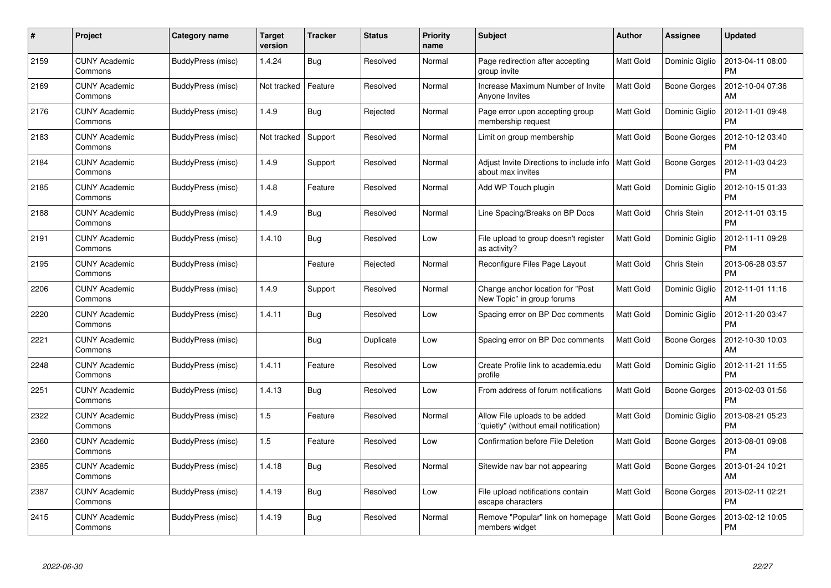| #    | Project                         | Category name     | <b>Target</b><br>version | <b>Tracker</b> | <b>Status</b> | <b>Priority</b><br>name | <b>Subject</b>                                                           | <b>Author</b>    | <b>Assignee</b>     | <b>Updated</b>                |
|------|---------------------------------|-------------------|--------------------------|----------------|---------------|-------------------------|--------------------------------------------------------------------------|------------------|---------------------|-------------------------------|
| 2159 | <b>CUNY Academic</b><br>Commons | BuddyPress (misc) | 1.4.24                   | <b>Bug</b>     | Resolved      | Normal                  | Page redirection after accepting<br>group invite                         | Matt Gold        | Dominic Giglio      | 2013-04-11 08:00<br><b>PM</b> |
| 2169 | <b>CUNY Academic</b><br>Commons | BuddyPress (misc) | Not tracked              | Feature        | Resolved      | Normal                  | Increase Maximum Number of Invite<br>Anyone Invites                      | Matt Gold        | Boone Gorges        | 2012-10-04 07:36<br>AM        |
| 2176 | <b>CUNY Academic</b><br>Commons | BuddyPress (misc) | 1.4.9                    | <b>Bug</b>     | Rejected      | Normal                  | Page error upon accepting group<br>membership request                    | Matt Gold        | Dominic Giglio      | 2012-11-01 09:48<br><b>PM</b> |
| 2183 | <b>CUNY Academic</b><br>Commons | BuddyPress (misc) | Not tracked              | Support        | Resolved      | Normal                  | Limit on group membership                                                | <b>Matt Gold</b> | Boone Gorges        | 2012-10-12 03:40<br><b>PM</b> |
| 2184 | <b>CUNY Academic</b><br>Commons | BuddyPress (misc) | 1.4.9                    | Support        | Resolved      | Normal                  | Adjust Invite Directions to include info<br>about max invites            | <b>Matt Gold</b> | <b>Boone Gorges</b> | 2012-11-03 04:23<br><b>PM</b> |
| 2185 | <b>CUNY Academic</b><br>Commons | BuddyPress (misc) | 1.4.8                    | Feature        | Resolved      | Normal                  | Add WP Touch plugin                                                      | <b>Matt Gold</b> | Dominic Giglio      | 2012-10-15 01:33<br><b>PM</b> |
| 2188 | <b>CUNY Academic</b><br>Commons | BuddyPress (misc) | 1.4.9                    | Bug            | Resolved      | Normal                  | Line Spacing/Breaks on BP Docs                                           | <b>Matt Gold</b> | Chris Stein         | 2012-11-01 03:15<br><b>PM</b> |
| 2191 | <b>CUNY Academic</b><br>Commons | BuddyPress (misc) | 1.4.10                   | <b>Bug</b>     | Resolved      | Low                     | File upload to group doesn't register<br>as activity?                    | Matt Gold        | Dominic Giglio      | 2012-11-11 09:28<br><b>PM</b> |
| 2195 | <b>CUNY Academic</b><br>Commons | BuddyPress (misc) |                          | Feature        | Rejected      | Normal                  | Reconfigure Files Page Layout                                            | <b>Matt Gold</b> | Chris Stein         | 2013-06-28 03:57<br><b>PM</b> |
| 2206 | <b>CUNY Academic</b><br>Commons | BuddyPress (misc) | 1.4.9                    | Support        | Resolved      | Normal                  | Change anchor location for "Post"<br>New Topic" in group forums          | <b>Matt Gold</b> | Dominic Giglio      | 2012-11-01 11:16<br>AM        |
| 2220 | <b>CUNY Academic</b><br>Commons | BuddyPress (misc) | 1.4.11                   | <b>Bug</b>     | Resolved      | Low                     | Spacing error on BP Doc comments                                         | Matt Gold        | Dominic Giglio      | 2012-11-20 03:47<br><b>PM</b> |
| 2221 | <b>CUNY Academic</b><br>Commons | BuddyPress (misc) |                          | Bug            | Duplicate     | Low                     | Spacing error on BP Doc comments                                         | <b>Matt Gold</b> | Boone Gorges        | 2012-10-30 10:03<br>AM        |
| 2248 | <b>CUNY Academic</b><br>Commons | BuddyPress (misc) | 1.4.11                   | Feature        | Resolved      | Low                     | Create Profile link to academia.edu<br>profile                           | <b>Matt Gold</b> | Dominic Giglio      | 2012-11-21 11:55<br><b>PM</b> |
| 2251 | <b>CUNY Academic</b><br>Commons | BuddyPress (misc) | 1.4.13                   | Bug            | Resolved      | Low                     | From address of forum notifications                                      | <b>Matt Gold</b> | <b>Boone Gorges</b> | 2013-02-03 01:56<br>PM        |
| 2322 | <b>CUNY Academic</b><br>Commons | BuddyPress (misc) | 1.5                      | Feature        | Resolved      | Normal                  | Allow File uploads to be added<br>"quietly" (without email notification) | <b>Matt Gold</b> | Dominic Giglio      | 2013-08-21 05:23<br><b>PM</b> |
| 2360 | <b>CUNY Academic</b><br>Commons | BuddyPress (misc) | 1.5                      | Feature        | Resolved      | Low                     | Confirmation before File Deletion                                        | Matt Gold        | Boone Gorges        | 2013-08-01 09:08<br><b>PM</b> |
| 2385 | <b>CUNY Academic</b><br>Commons | BuddyPress (misc) | 1.4.18                   | Bug            | Resolved      | Normal                  | Sitewide nav bar not appearing                                           | <b>Matt Gold</b> | Boone Gorges        | 2013-01-24 10:21<br>AM        |
| 2387 | <b>CUNY Academic</b><br>Commons | BuddyPress (misc) | 1.4.19                   | <b>Bug</b>     | Resolved      | Low                     | File upload notifications contain<br>escape characters                   | <b>Matt Gold</b> | Boone Gorges        | 2013-02-11 02:21<br><b>PM</b> |
| 2415 | CUNY Academic<br>Commons        | BuddyPress (misc) | 1.4.19                   | Bug            | Resolved      | Normal                  | Remove "Popular" link on homepage<br>members widget                      | <b>Matt Gold</b> | Boone Gorges        | 2013-02-12 10:05<br>PM        |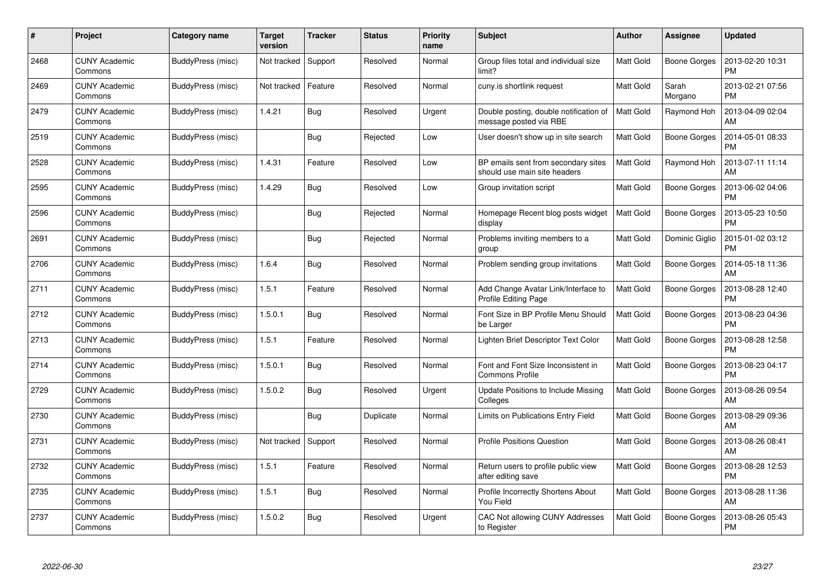| #    | Project                         | Category name     | <b>Target</b><br>version | <b>Tracker</b> | <b>Status</b> | <b>Priority</b><br>name | <b>Subject</b>                                                      | <b>Author</b>    | <b>Assignee</b>     | <b>Updated</b>                |
|------|---------------------------------|-------------------|--------------------------|----------------|---------------|-------------------------|---------------------------------------------------------------------|------------------|---------------------|-------------------------------|
| 2468 | <b>CUNY Academic</b><br>Commons | BuddyPress (misc) | Not tracked              | Support        | Resolved      | Normal                  | Group files total and individual size<br>limit?                     | <b>Matt Gold</b> | <b>Boone Gorges</b> | 2013-02-20 10:31<br><b>PM</b> |
| 2469 | <b>CUNY Academic</b><br>Commons | BuddyPress (misc) | Not tracked              | Feature        | Resolved      | Normal                  | cuny.is shortlink request                                           | Matt Gold        | Sarah<br>Morgano    | 2013-02-21 07:56<br><b>PM</b> |
| 2479 | <b>CUNY Academic</b><br>Commons | BuddyPress (misc) | 1.4.21                   | <b>Bug</b>     | Resolved      | Urgent                  | Double posting, double notification of<br>message posted via RBE    | <b>Matt Gold</b> | Raymond Hoh         | 2013-04-09 02:04<br>AM        |
| 2519 | <b>CUNY Academic</b><br>Commons | BuddyPress (misc) |                          | <b>Bug</b>     | Rejected      | Low                     | User doesn't show up in site search                                 | <b>Matt Gold</b> | Boone Gorges        | 2014-05-01 08:33<br><b>PM</b> |
| 2528 | <b>CUNY Academic</b><br>Commons | BuddyPress (misc) | 1.4.31                   | Feature        | Resolved      | Low                     | BP emails sent from secondary sites<br>should use main site headers | <b>Matt Gold</b> | Raymond Hoh         | 2013-07-11 11:14<br>AM        |
| 2595 | <b>CUNY Academic</b><br>Commons | BuddyPress (misc) | 1.4.29                   | Bug            | Resolved      | Low                     | Group invitation script                                             | Matt Gold        | Boone Gorges        | 2013-06-02 04:06<br><b>PM</b> |
| 2596 | <b>CUNY Academic</b><br>Commons | BuddyPress (misc) |                          | Bug            | Rejected      | Normal                  | Homepage Recent blog posts widget<br>display                        | Matt Gold        | <b>Boone Gorges</b> | 2013-05-23 10:50<br><b>PM</b> |
| 2691 | <b>CUNY Academic</b><br>Commons | BuddyPress (misc) |                          | Bug            | Rejected      | Normal                  | Problems inviting members to a<br>group                             | <b>Matt Gold</b> | Dominic Giglio      | 2015-01-02 03:12<br><b>PM</b> |
| 2706 | <b>CUNY Academic</b><br>Commons | BuddyPress (misc) | 1.6.4                    | <b>Bug</b>     | Resolved      | Normal                  | Problem sending group invitations                                   | <b>Matt Gold</b> | <b>Boone Gorges</b> | 2014-05-18 11:36<br>AM        |
| 2711 | <b>CUNY Academic</b><br>Commons | BuddyPress (misc) | 1.5.1                    | Feature        | Resolved      | Normal                  | Add Change Avatar Link/Interface to<br><b>Profile Editing Page</b>  | <b>Matt Gold</b> | <b>Boone Gorges</b> | 2013-08-28 12:40<br><b>PM</b> |
| 2712 | <b>CUNY Academic</b><br>Commons | BuddyPress (misc) | 1.5.0.1                  | Bug            | Resolved      | Normal                  | Font Size in BP Profile Menu Should<br>be Larger                    | Matt Gold        | Boone Gorges        | 2013-08-23 04:36<br><b>PM</b> |
| 2713 | <b>CUNY Academic</b><br>Commons | BuddyPress (misc) | 1.5.1                    | Feature        | Resolved      | Normal                  | Lighten Brief Descriptor Text Color                                 | Matt Gold        | Boone Gorges        | 2013-08-28 12:58<br><b>PM</b> |
| 2714 | <b>CUNY Academic</b><br>Commons | BuddyPress (misc) | 1.5.0.1                  | <b>Bug</b>     | Resolved      | Normal                  | Font and Font Size Inconsistent in<br><b>Commons Profile</b>        | <b>Matt Gold</b> | Boone Gorges        | 2013-08-23 04:17<br><b>PM</b> |
| 2729 | <b>CUNY Academic</b><br>Commons | BuddyPress (misc) | 1.5.0.2                  | Bug            | Resolved      | Urgent                  | Update Positions to Include Missing<br>Colleges                     | <b>Matt Gold</b> | Boone Gorges        | 2013-08-26 09:54<br>AM        |
| 2730 | <b>CUNY Academic</b><br>Commons | BuddyPress (misc) |                          | <b>Bug</b>     | Duplicate     | Normal                  | Limits on Publications Entry Field                                  | Matt Gold        | Boone Gorges        | 2013-08-29 09:36<br>AM        |
| 2731 | <b>CUNY Academic</b><br>Commons | BuddyPress (misc) | Not tracked              | Support        | Resolved      | Normal                  | <b>Profile Positions Question</b>                                   | Matt Gold        | Boone Gorges        | 2013-08-26 08:41<br>AM        |
| 2732 | <b>CUNY Academic</b><br>Commons | BuddyPress (misc) | 1.5.1                    | Feature        | Resolved      | Normal                  | Return users to profile public view<br>after editing save           | <b>Matt Gold</b> | Boone Gorges        | 2013-08-28 12:53<br><b>PM</b> |
| 2735 | <b>CUNY Academic</b><br>Commons | BuddyPress (misc) | 1.5.1                    | Bug            | Resolved      | Normal                  | Profile Incorrectly Shortens About<br>You Field                     | Matt Gold        | Boone Gorges        | 2013-08-28 11:36<br>AM        |
| 2737 | CUNY Academic<br>Commons        | BuddyPress (misc) | 1.5.0.2                  | <b>Bug</b>     | Resolved      | Urgent                  | CAC Not allowing CUNY Addresses<br>to Register                      | <b>Matt Gold</b> | Boone Gorges        | 2013-08-26 05:43<br>PM        |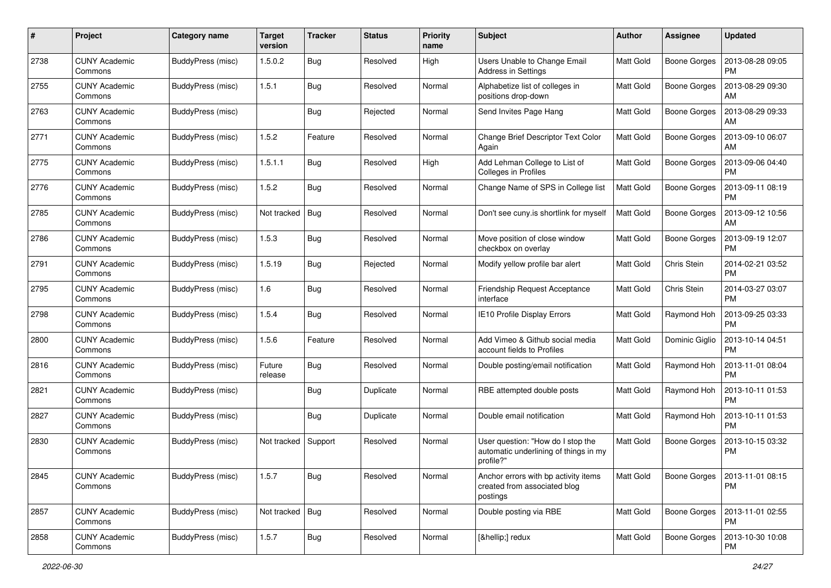| #    | Project                         | Category name            | <b>Target</b><br>version | <b>Tracker</b> | <b>Status</b> | <b>Priority</b><br>name | Subject                                                                                 | Author           | Assignee            | <b>Updated</b>                |
|------|---------------------------------|--------------------------|--------------------------|----------------|---------------|-------------------------|-----------------------------------------------------------------------------------------|------------------|---------------------|-------------------------------|
| 2738 | <b>CUNY Academic</b><br>Commons | BuddyPress (misc)        | 1.5.0.2                  | Bug            | Resolved      | High                    | Users Unable to Change Email<br><b>Address in Settings</b>                              | <b>Matt Gold</b> | <b>Boone Gorges</b> | 2013-08-28 09:05<br>PM        |
| 2755 | <b>CUNY Academic</b><br>Commons | BuddyPress (misc)        | 1.5.1                    | Bug            | Resolved      | Normal                  | Alphabetize list of colleges in<br>positions drop-down                                  | <b>Matt Gold</b> | <b>Boone Gorges</b> | 2013-08-29 09:30<br>AM        |
| 2763 | <b>CUNY Academic</b><br>Commons | BuddyPress (misc)        |                          | <b>Bug</b>     | Rejected      | Normal                  | Send Invites Page Hang                                                                  | <b>Matt Gold</b> | <b>Boone Gorges</b> | 2013-08-29 09:33<br>АM        |
| 2771 | <b>CUNY Academic</b><br>Commons | BuddyPress (misc)        | 1.5.2                    | Feature        | Resolved      | Normal                  | Change Brief Descriptor Text Color<br>Again                                             | Matt Gold        | <b>Boone Gorges</b> | 2013-09-10 06:07<br>AM        |
| 2775 | <b>CUNY Academic</b><br>Commons | BuddyPress (misc)        | 1.5.1.1                  | <b>Bug</b>     | Resolved      | High                    | Add Lehman College to List of<br>Colleges in Profiles                                   | <b>Matt Gold</b> | <b>Boone Gorges</b> | 2013-09-06 04:40<br><b>PM</b> |
| 2776 | <b>CUNY Academic</b><br>Commons | BuddyPress (misc)        | 1.5.2                    | Bug            | Resolved      | Normal                  | Change Name of SPS in College list                                                      | <b>Matt Gold</b> | Boone Gorges        | 2013-09-11 08:19<br><b>PM</b> |
| 2785 | <b>CUNY Academic</b><br>Commons | BuddyPress (misc)        | Not tracked              | Bug            | Resolved      | Normal                  | Don't see cuny is shortlink for myself                                                  | <b>Matt Gold</b> | <b>Boone Gorges</b> | 2013-09-12 10:56<br>AM        |
| 2786 | <b>CUNY Academic</b><br>Commons | BuddyPress (misc)        | 1.5.3                    | <b>Bug</b>     | Resolved      | Normal                  | Move position of close window<br>checkbox on overlay                                    | <b>Matt Gold</b> | <b>Boone Gorges</b> | 2013-09-19 12:07<br>PM        |
| 2791 | <b>CUNY Academic</b><br>Commons | BuddyPress (misc)        | 1.5.19                   | <b>Bug</b>     | Rejected      | Normal                  | Modify yellow profile bar alert                                                         | <b>Matt Gold</b> | Chris Stein         | 2014-02-21 03:52<br><b>PM</b> |
| 2795 | <b>CUNY Academic</b><br>Commons | BuddyPress (misc)        | 1.6                      | <b>Bug</b>     | Resolved      | Normal                  | Friendship Request Acceptance<br>interface                                              | <b>Matt Gold</b> | Chris Stein         | 2014-03-27 03:07<br><b>PM</b> |
| 2798 | <b>CUNY Academic</b><br>Commons | BuddyPress (misc)        | 1.5.4                    | Bug            | Resolved      | Normal                  | IE10 Profile Display Errors                                                             | <b>Matt Gold</b> | Raymond Hoh         | 2013-09-25 03:33<br><b>PM</b> |
| 2800 | <b>CUNY Academic</b><br>Commons | BuddyPress (misc)        | 1.5.6                    | Feature        | Resolved      | Normal                  | Add Vimeo & Github social media<br>account fields to Profiles                           | Matt Gold        | Dominic Giglio      | 2013-10-14 04:51<br><b>PM</b> |
| 2816 | <b>CUNY Academic</b><br>Commons | BuddyPress (misc)        | Future<br>release        | Bug            | Resolved      | Normal                  | Double posting/email notification                                                       | <b>Matt Gold</b> | Raymond Hoh         | 2013-11-01 08:04<br><b>PM</b> |
| 2821 | <b>CUNY Academic</b><br>Commons | BuddyPress (misc)        |                          | Bug            | Duplicate     | Normal                  | RBE attempted double posts                                                              | Matt Gold        | Raymond Hoh         | 2013-10-11 01:53<br><b>PM</b> |
| 2827 | <b>CUNY Academic</b><br>Commons | BuddyPress (misc)        |                          | Bug            | Duplicate     | Normal                  | Double email notification                                                               | <b>Matt Gold</b> | Raymond Hoh         | 2013-10-11 01:53<br>PM        |
| 2830 | <b>CUNY Academic</b><br>Commons | BuddyPress (misc)        | Not tracked              | Support        | Resolved      | Normal                  | User question: "How do I stop the<br>automatic underlining of things in my<br>profile?" | <b>Matt Gold</b> | <b>Boone Gorges</b> | 2013-10-15 03:32<br><b>PM</b> |
| 2845 | <b>CUNY Academic</b><br>Commons | <b>BuddyPress</b> (misc) | 1.5.7                    | <b>Bug</b>     | Resolved      | Normal                  | Anchor errors with bp activity items<br>created from associated blog<br>postings        | Matt Gold        | Boone Gorges        | 2013-11-01 08:15<br><b>PM</b> |
| 2857 | <b>CUNY Academic</b><br>Commons | BuddyPress (misc)        | Not tracked   Bug        |                | Resolved      | Normal                  | Double posting via RBE                                                                  | Matt Gold        | Boone Gorges        | 2013-11-01 02:55<br><b>PM</b> |
| 2858 | <b>CUNY Academic</b><br>Commons | <b>BuddyPress (misc)</b> | 1.5.7                    | <b>Bug</b>     | Resolved      | Normal                  | […] redux                                                                               | Matt Gold        | <b>Boone Gorges</b> | 2013-10-30 10:08<br>PM        |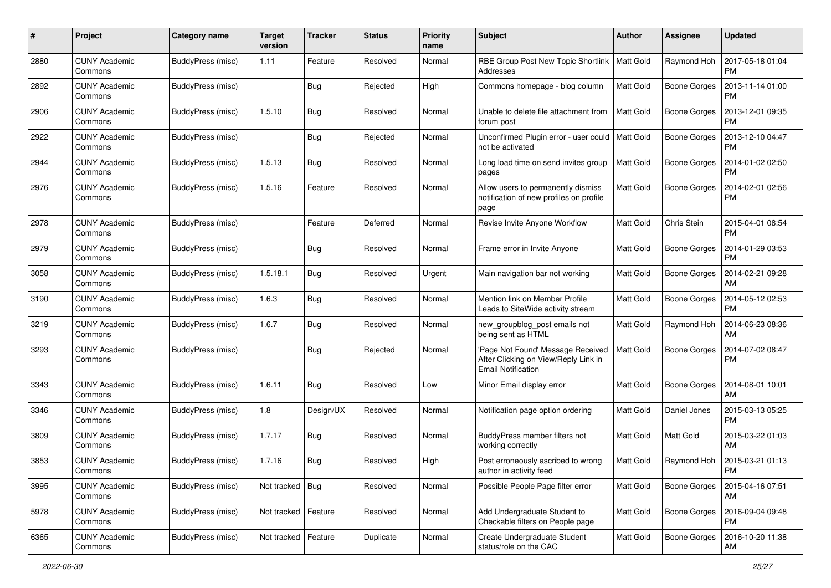| #    | Project                         | Category name     | <b>Target</b><br>version | <b>Tracker</b> | <b>Status</b> | <b>Priority</b><br>name | <b>Subject</b>                                                                                         | <b>Author</b>    | <b>Assignee</b>     | <b>Updated</b>                |
|------|---------------------------------|-------------------|--------------------------|----------------|---------------|-------------------------|--------------------------------------------------------------------------------------------------------|------------------|---------------------|-------------------------------|
| 2880 | <b>CUNY Academic</b><br>Commons | BuddyPress (misc) | 1.11                     | Feature        | Resolved      | Normal                  | RBE Group Post New Topic Shortlink<br>Addresses                                                        | <b>Matt Gold</b> | Raymond Hoh         | 2017-05-18 01:04<br>PM        |
| 2892 | <b>CUNY Academic</b><br>Commons | BuddyPress (misc) |                          | <b>Bug</b>     | Rejected      | High                    | Commons homepage - blog column                                                                         | <b>Matt Gold</b> | <b>Boone Gorges</b> | 2013-11-14 01:00<br><b>PM</b> |
| 2906 | <b>CUNY Academic</b><br>Commons | BuddyPress (misc) | 1.5.10                   | <b>Bug</b>     | Resolved      | Normal                  | Unable to delete file attachment from<br>forum post                                                    | Matt Gold        | <b>Boone Gorges</b> | 2013-12-01 09:35<br><b>PM</b> |
| 2922 | <b>CUNY Academic</b><br>Commons | BuddyPress (misc) |                          | <b>Bug</b>     | Rejected      | Normal                  | Unconfirmed Plugin error - user could<br>not be activated                                              | <b>Matt Gold</b> | <b>Boone Gorges</b> | 2013-12-10 04:47<br><b>PM</b> |
| 2944 | <b>CUNY Academic</b><br>Commons | BuddyPress (misc) | 1.5.13                   | <b>Bug</b>     | Resolved      | Normal                  | Long load time on send invites group<br>pages                                                          | <b>Matt Gold</b> | Boone Gorges        | 2014-01-02 02:50<br><b>PM</b> |
| 2976 | <b>CUNY Academic</b><br>Commons | BuddyPress (misc) | 1.5.16                   | Feature        | Resolved      | Normal                  | Allow users to permanently dismiss<br>notification of new profiles on profile<br>page                  | <b>Matt Gold</b> | <b>Boone Gorges</b> | 2014-02-01 02:56<br>PM        |
| 2978 | <b>CUNY Academic</b><br>Commons | BuddyPress (misc) |                          | Feature        | Deferred      | Normal                  | Revise Invite Anyone Workflow                                                                          | <b>Matt Gold</b> | Chris Stein         | 2015-04-01 08:54<br><b>PM</b> |
| 2979 | CUNY Academic<br>Commons        | BuddyPress (misc) |                          | <b>Bug</b>     | Resolved      | Normal                  | Frame error in Invite Anyone                                                                           | <b>Matt Gold</b> | Boone Gorges        | 2014-01-29 03:53<br><b>PM</b> |
| 3058 | <b>CUNY Academic</b><br>Commons | BuddyPress (misc) | 1.5.18.1                 | <b>Bug</b>     | Resolved      | Urgent                  | Main navigation bar not working                                                                        | <b>Matt Gold</b> | <b>Boone Gorges</b> | 2014-02-21 09:28<br>AM        |
| 3190 | <b>CUNY Academic</b><br>Commons | BuddyPress (misc) | 1.6.3                    | <b>Bug</b>     | Resolved      | Normal                  | Mention link on Member Profile<br>Leads to SiteWide activity stream                                    | <b>Matt Gold</b> | <b>Boone Gorges</b> | 2014-05-12 02:53<br><b>PM</b> |
| 3219 | CUNY Academic<br>Commons        | BuddyPress (misc) | 1.6.7                    | <b>Bug</b>     | Resolved      | Normal                  | new_groupblog_post emails not<br>being sent as HTML                                                    | <b>Matt Gold</b> | Raymond Hoh         | 2014-06-23 08:36<br>AM        |
| 3293 | <b>CUNY Academic</b><br>Commons | BuddyPress (misc) |                          | <b>Bug</b>     | Rejected      | Normal                  | 'Page Not Found' Message Received<br>After Clicking on View/Reply Link in<br><b>Email Notification</b> | <b>Matt Gold</b> | Boone Gorges        | 2014-07-02 08:47<br><b>PM</b> |
| 3343 | <b>CUNY Academic</b><br>Commons | BuddyPress (misc) | 1.6.11                   | Bug            | Resolved      | Low                     | Minor Email display error                                                                              | <b>Matt Gold</b> | <b>Boone Gorges</b> | 2014-08-01 10:01<br>AM        |
| 3346 | <b>CUNY Academic</b><br>Commons | BuddyPress (misc) | 1.8                      | Design/UX      | Resolved      | Normal                  | Notification page option ordering                                                                      | <b>Matt Gold</b> | Daniel Jones        | 2015-03-13 05:25<br><b>PM</b> |
| 3809 | <b>CUNY Academic</b><br>Commons | BuddyPress (misc) | 1.7.17                   | <b>Bug</b>     | Resolved      | Normal                  | BuddyPress member filters not<br>working correctly                                                     | <b>Matt Gold</b> | Matt Gold           | 2015-03-22 01:03<br>AM        |
| 3853 | <b>CUNY Academic</b><br>Commons | BuddyPress (misc) | 1.7.16                   | <b>Bug</b>     | Resolved      | High                    | Post erroneously ascribed to wrong<br>author in activity feed                                          | Matt Gold        | Raymond Hoh         | 2015-03-21 01:13<br>PM        |
| 3995 | <b>CUNY Academic</b><br>Commons | BuddyPress (misc) | Not tracked   Bug        |                | Resolved      | Normal                  | Possible People Page filter error                                                                      | Matt Gold        | <b>Boone Gorges</b> | 2015-04-16 07:51<br>  AM      |
| 5978 | <b>CUNY Academic</b><br>Commons | BuddyPress (misc) | Not tracked              | Feature        | Resolved      | Normal                  | Add Undergraduate Student to<br>Checkable filters on People page                                       | Matt Gold        | Boone Gorges        | 2016-09-04 09:48<br><b>PM</b> |
| 6365 | <b>CUNY Academic</b><br>Commons | BuddyPress (misc) | Not tracked   Feature    |                | Duplicate     | Normal                  | Create Undergraduate Student<br>status/role on the CAC                                                 | Matt Gold        | Boone Gorges        | 2016-10-20 11:38<br>AM        |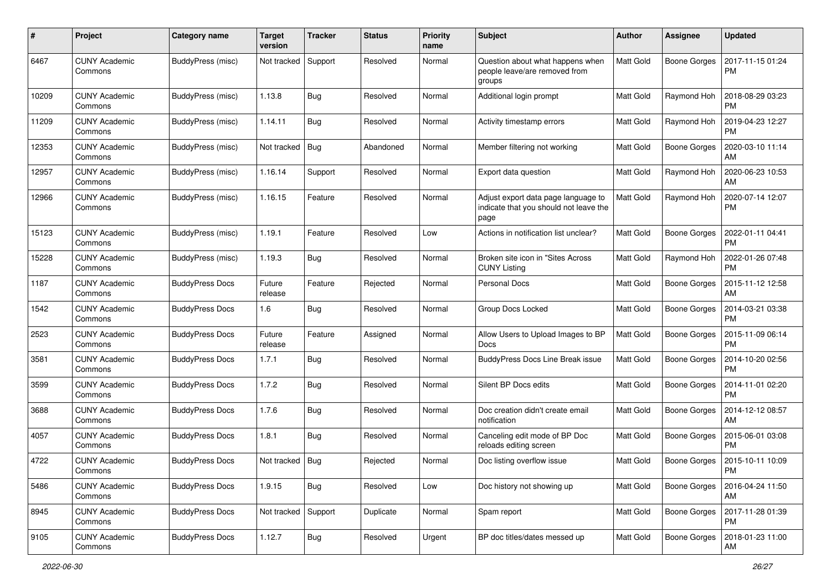| #     | Project                         | Category name          | <b>Target</b><br>version | <b>Tracker</b> | <b>Status</b> | <b>Priority</b><br>name | <b>Subject</b>                                                                        | Author           | <b>Assignee</b>     | <b>Updated</b>                |
|-------|---------------------------------|------------------------|--------------------------|----------------|---------------|-------------------------|---------------------------------------------------------------------------------------|------------------|---------------------|-------------------------------|
| 6467  | <b>CUNY Academic</b><br>Commons | BuddyPress (misc)      | Not tracked              | Support        | Resolved      | Normal                  | Question about what happens when<br>people leave/are removed from<br>groups           | Matt Gold        | <b>Boone Gorges</b> | 2017-11-15 01:24<br><b>PM</b> |
| 10209 | <b>CUNY Academic</b><br>Commons | BuddyPress (misc)      | 1.13.8                   | Bug            | Resolved      | Normal                  | Additional login prompt                                                               | Matt Gold        | Raymond Hoh         | 2018-08-29 03:23<br><b>PM</b> |
| 11209 | <b>CUNY Academic</b><br>Commons | BuddyPress (misc)      | 1.14.11                  | <b>Bug</b>     | Resolved      | Normal                  | Activity timestamp errors                                                             | <b>Matt Gold</b> | Raymond Hoh         | 2019-04-23 12:27<br><b>PM</b> |
| 12353 | <b>CUNY Academic</b><br>Commons | BuddyPress (misc)      | Not tracked              | Bug            | Abandoned     | Normal                  | Member filtering not working                                                          | <b>Matt Gold</b> | <b>Boone Gorges</b> | 2020-03-10 11:14<br>AM        |
| 12957 | <b>CUNY Academic</b><br>Commons | BuddyPress (misc)      | 1.16.14                  | Support        | Resolved      | Normal                  | Export data question                                                                  | <b>Matt Gold</b> | Raymond Hoh         | 2020-06-23 10:53<br>AM        |
| 12966 | <b>CUNY Academic</b><br>Commons | BuddyPress (misc)      | 1.16.15                  | Feature        | Resolved      | Normal                  | Adjust export data page language to<br>indicate that you should not leave the<br>page | <b>Matt Gold</b> | Raymond Hoh         | 2020-07-14 12:07<br><b>PM</b> |
| 15123 | <b>CUNY Academic</b><br>Commons | BuddyPress (misc)      | 1.19.1                   | Feature        | Resolved      | Low                     | Actions in notification list unclear?                                                 | <b>Matt Gold</b> | <b>Boone Gorges</b> | 2022-01-11 04:41<br><b>PM</b> |
| 15228 | <b>CUNY Academic</b><br>Commons | BuddyPress (misc)      | 1.19.3                   | Bug            | Resolved      | Normal                  | Broken site icon in "Sites Across<br><b>CUNY Listing</b>                              | Matt Gold        | Raymond Hoh         | 2022-01-26 07:48<br><b>PM</b> |
| 1187  | <b>CUNY Academic</b><br>Commons | <b>BuddyPress Docs</b> | Future<br>release        | Feature        | Rejected      | Normal                  | Personal Docs                                                                         | <b>Matt Gold</b> | <b>Boone Gorges</b> | 2015-11-12 12:58<br>AM        |
| 1542  | <b>CUNY Academic</b><br>Commons | <b>BuddyPress Docs</b> | 1.6                      | Bug            | Resolved      | Normal                  | Group Docs Locked                                                                     | Matt Gold        | <b>Boone Gorges</b> | 2014-03-21 03:38<br><b>PM</b> |
| 2523  | <b>CUNY Academic</b><br>Commons | <b>BuddyPress Docs</b> | Future<br>release        | Feature        | Assigned      | Normal                  | Allow Users to Upload Images to BP<br>Docs                                            | <b>Matt Gold</b> | <b>Boone Gorges</b> | 2015-11-09 06:14<br><b>PM</b> |
| 3581  | <b>CUNY Academic</b><br>Commons | <b>BuddyPress Docs</b> | 1.7.1                    | Bug            | Resolved      | Normal                  | BuddyPress Docs Line Break issue                                                      | Matt Gold        | <b>Boone Gorges</b> | 2014-10-20 02:56<br><b>PM</b> |
| 3599  | <b>CUNY Academic</b><br>Commons | <b>BuddyPress Docs</b> | 1.7.2                    | Bug            | Resolved      | Normal                  | Silent BP Docs edits                                                                  | <b>Matt Gold</b> | <b>Boone Gorges</b> | 2014-11-01 02:20<br><b>PM</b> |
| 3688  | <b>CUNY Academic</b><br>Commons | <b>BuddyPress Docs</b> | 1.7.6                    | Bug            | Resolved      | Normal                  | Doc creation didn't create email<br>notification                                      | Matt Gold        | <b>Boone Gorges</b> | 2014-12-12 08:57<br>AM        |
| 4057  | <b>CUNY Academic</b><br>Commons | <b>BuddyPress Docs</b> | 1.8.1                    | Bug            | Resolved      | Normal                  | Canceling edit mode of BP Doc<br>reloads editing screen                               | <b>Matt Gold</b> | Boone Gorges        | 2015-06-01 03:08<br><b>PM</b> |
| 4722  | <b>CUNY Academic</b><br>Commons | <b>BuddyPress Docs</b> | Not tracked              | <b>Bug</b>     | Rejected      | Normal                  | Doc listing overflow issue                                                            | <b>Matt Gold</b> | Boone Gorges        | 2015-10-11 10:09<br>PM        |
| 5486  | <b>CUNY Academic</b><br>Commons | <b>BuddyPress Docs</b> | 1.9.15                   | Bug            | Resolved      | Low                     | Doc history not showing up                                                            | Matt Gold        | Boone Gorges        | 2016-04-24 11:50<br>AM        |
| 8945  | <b>CUNY Academic</b><br>Commons | <b>BuddyPress Docs</b> | Not tracked              | Support        | Duplicate     | Normal                  | Spam report                                                                           | Matt Gold        | <b>Boone Gorges</b> | 2017-11-28 01:39<br>PM        |
| 9105  | <b>CUNY Academic</b><br>Commons | <b>BuddyPress Docs</b> | 1.12.7                   | <b>Bug</b>     | Resolved      | Urgent                  | BP doc titles/dates messed up                                                         | Matt Gold        | Boone Gorges        | 2018-01-23 11:00<br>AM        |